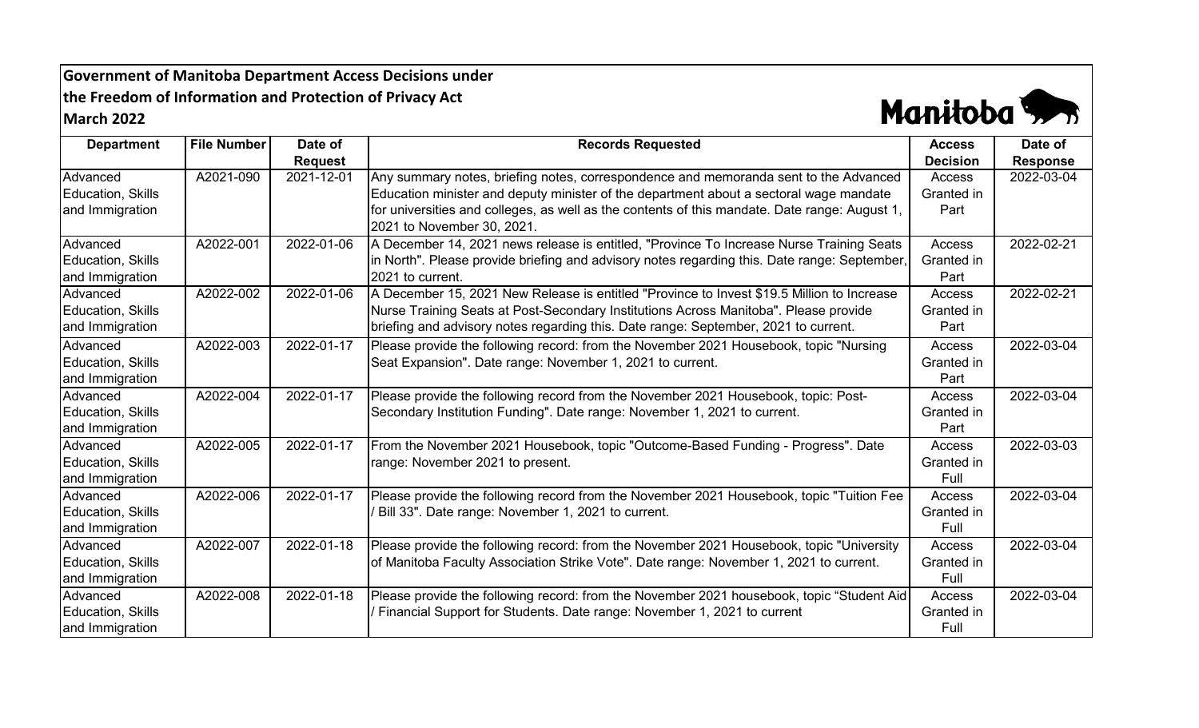**Government of Manitoba Department Access Decisions under the Freedom of Information and Protection of Privacy Act March 2022**



| <b>Department</b>                                       | <b>File Number</b> | Date of        | <b>Records Requested</b>                                                                                                                                                                                                                                                                                      | <b>Access</b>                       | Date of         |
|---------------------------------------------------------|--------------------|----------------|---------------------------------------------------------------------------------------------------------------------------------------------------------------------------------------------------------------------------------------------------------------------------------------------------------------|-------------------------------------|-----------------|
|                                                         |                    | <b>Request</b> |                                                                                                                                                                                                                                                                                                               | <b>Decision</b>                     | <b>Response</b> |
| Advanced<br>Education, Skills<br>and Immigration        | A2021-090          | 2021-12-01     | Any summary notes, briefing notes, correspondence and memoranda sent to the Advanced<br>Education minister and deputy minister of the department about a sectoral wage mandate<br>for universities and colleges, as well as the contents of this mandate. Date range: August 1,<br>2021 to November 30, 2021. | Access<br>Granted in<br>Part        | 2022-03-04      |
| Advanced<br>Education, Skills<br>and Immigration        | A2022-001          | 2022-01-06     | A December 14, 2021 news release is entitled, "Province To Increase Nurse Training Seats<br>in North". Please provide briefing and advisory notes regarding this. Date range: September,<br>2021 to current.                                                                                                  | Access<br>Granted in<br>Part        | 2022-02-21      |
| Advanced<br><b>Education, Skills</b><br>and Immigration | A2022-002          | 2022-01-06     | A December 15, 2021 New Release is entitled "Province to Invest \$19.5 Million to Increase<br>Nurse Training Seats at Post-Secondary Institutions Across Manitoba". Please provide<br>briefing and advisory notes regarding this. Date range: September, 2021 to current.                                     | <b>Access</b><br>Granted in<br>Part | 2022-02-21      |
| Advanced<br><b>Education, Skills</b><br>and Immigration | A2022-003          | 2022-01-17     | Please provide the following record: from the November 2021 Housebook, topic "Nursing<br>Seat Expansion". Date range: November 1, 2021 to current.                                                                                                                                                            | Access<br>Granted in<br>Part        | 2022-03-04      |
| Advanced<br><b>Education, Skills</b><br>and Immigration | A2022-004          | 2022-01-17     | Please provide the following record from the November 2021 Housebook, topic: Post-<br>Secondary Institution Funding". Date range: November 1, 2021 to current.                                                                                                                                                | Access<br>Granted in<br>Part        | 2022-03-04      |
| Advanced<br>Education, Skills<br>and Immigration        | A2022-005          | 2022-01-17     | From the November 2021 Housebook, topic "Outcome-Based Funding - Progress". Date<br>range: November 2021 to present.                                                                                                                                                                                          | Access<br>Granted in<br>Full        | 2022-03-03      |
| Advanced<br><b>Education, Skills</b><br>and Immigration | A2022-006          | 2022-01-17     | Please provide the following record from the November 2021 Housebook, topic "Tuition Fee<br>Bill 33". Date range: November 1, 2021 to current.                                                                                                                                                                | <b>Access</b><br>Granted in<br>Full | 2022-03-04      |
| Advanced<br>Education, Skills<br>and Immigration        | A2022-007          | 2022-01-18     | Please provide the following record: from the November 2021 Housebook, topic "University<br>of Manitoba Faculty Association Strike Vote". Date range: November 1, 2021 to current.                                                                                                                            | <b>Access</b><br>Granted in<br>Full | 2022-03-04      |
| Advanced<br><b>Education, Skills</b><br>and Immigration | A2022-008          | 2022-01-18     | Please provide the following record: from the November 2021 housebook, topic "Student Aid<br>Financial Support for Students. Date range: November 1, 2021 to current                                                                                                                                          | Access<br>Granted in<br>Full        | 2022-03-04      |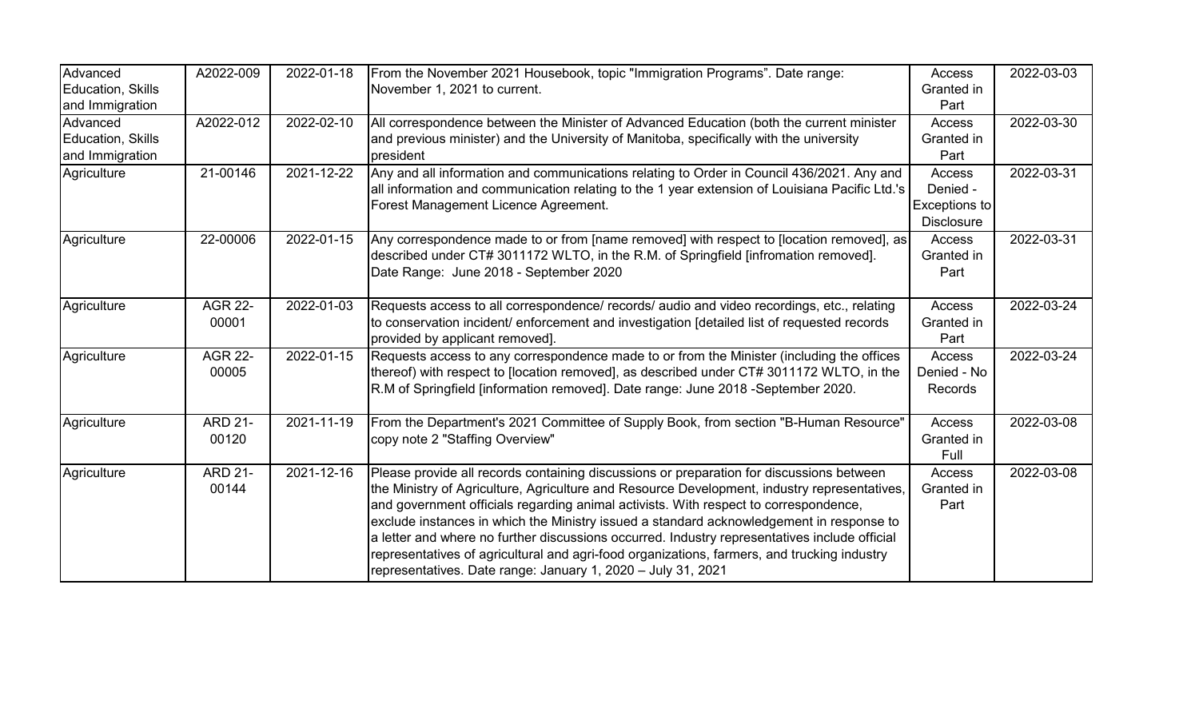| Advanced<br>Education, Skills<br>and Immigration | A2022-009               | 2022-01-18 | From the November 2021 Housebook, topic "Immigration Programs". Date range:<br>November 1, 2021 to current.                                                                                                                                                                                                                                                                                                                                                                                                                                                                                                                                  | Access<br>Granted in<br>Part                             | 2022-03-03 |
|--------------------------------------------------|-------------------------|------------|----------------------------------------------------------------------------------------------------------------------------------------------------------------------------------------------------------------------------------------------------------------------------------------------------------------------------------------------------------------------------------------------------------------------------------------------------------------------------------------------------------------------------------------------------------------------------------------------------------------------------------------------|----------------------------------------------------------|------------|
| Advanced<br>Education, Skills<br>and Immigration | A2022-012               | 2022-02-10 | All correspondence between the Minister of Advanced Education (both the current minister<br>and previous minister) and the University of Manitoba, specifically with the university<br>president                                                                                                                                                                                                                                                                                                                                                                                                                                             | Access<br>Granted in<br>Part                             | 2022-03-30 |
| Agriculture                                      | 21-00146                | 2021-12-22 | Any and all information and communications relating to Order in Council 436/2021. Any and<br>all information and communication relating to the 1 year extension of Louisiana Pacific Ltd.'s<br>Forest Management Licence Agreement.                                                                                                                                                                                                                                                                                                                                                                                                          | Access<br>Denied -<br>Exceptions to<br><b>Disclosure</b> | 2022-03-31 |
| Agriculture                                      | 22-00006                | 2022-01-15 | Any correspondence made to or from [name removed] with respect to [location removed], as<br>described under CT# 3011172 WLTO, in the R.M. of Springfield [infromation removed].<br>Date Range: June 2018 - September 2020                                                                                                                                                                                                                                                                                                                                                                                                                    | Access<br>Granted in<br>Part                             | 2022-03-31 |
| Agriculture                                      | <b>AGR 22-</b><br>00001 | 2022-01-03 | Requests access to all correspondence/ records/ audio and video recordings, etc., relating<br>to conservation incident/ enforcement and investigation [detailed list of requested records<br>provided by applicant removed].                                                                                                                                                                                                                                                                                                                                                                                                                 | Access<br>Granted in<br>Part                             | 2022-03-24 |
| Agriculture                                      | <b>AGR 22-</b><br>00005 | 2022-01-15 | Requests access to any correspondence made to or from the Minister (including the offices<br>thereof) with respect to [location removed], as described under CT# 3011172 WLTO, in the<br>R.M of Springfield [information removed]. Date range: June 2018 -September 2020.                                                                                                                                                                                                                                                                                                                                                                    | Access<br>Denied - No<br><b>Records</b>                  | 2022-03-24 |
| Agriculture                                      | <b>ARD 21-</b><br>00120 | 2021-11-19 | From the Department's 2021 Committee of Supply Book, from section "B-Human Resource"<br>copy note 2 "Staffing Overview"                                                                                                                                                                                                                                                                                                                                                                                                                                                                                                                      | Access<br>Granted in<br>Full                             | 2022-03-08 |
| Agriculture                                      | <b>ARD 21-</b><br>00144 | 2021-12-16 | Please provide all records containing discussions or preparation for discussions between<br>the Ministry of Agriculture, Agriculture and Resource Development, industry representatives,<br>and government officials regarding animal activists. With respect to correspondence,<br>exclude instances in which the Ministry issued a standard acknowledgement in response to<br>a letter and where no further discussions occurred. Industry representatives include official<br>representatives of agricultural and agri-food organizations, farmers, and trucking industry<br>representatives. Date range: January 1, 2020 - July 31, 2021 | Access<br>Granted in<br>Part                             | 2022-03-08 |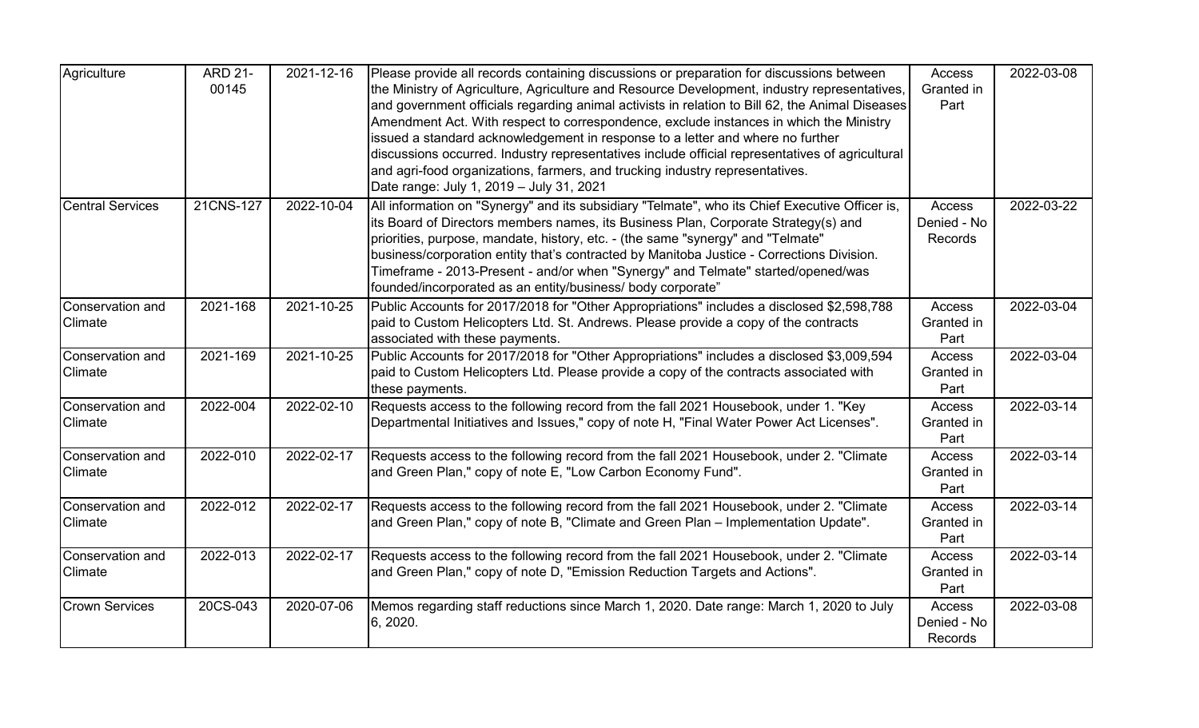| Agriculture             | <b>ARD 21-</b> | 2021-12-16 | Please provide all records containing discussions or preparation for discussions between        | Access        | 2022-03-08 |
|-------------------------|----------------|------------|-------------------------------------------------------------------------------------------------|---------------|------------|
|                         | 00145          |            | the Ministry of Agriculture, Agriculture and Resource Development, industry representatives,    | Granted in    |            |
|                         |                |            | and government officials regarding animal activists in relation to Bill 62, the Animal Diseases | Part          |            |
|                         |                |            | Amendment Act. With respect to correspondence, exclude instances in which the Ministry          |               |            |
|                         |                |            | issued a standard acknowledgement in response to a letter and where no further                  |               |            |
|                         |                |            | discussions occurred. Industry representatives include official representatives of agricultural |               |            |
|                         |                |            | and agri-food organizations, farmers, and trucking industry representatives.                    |               |            |
|                         |                |            | Date range: July 1, 2019 - July 31, 2021                                                        |               |            |
| <b>Central Services</b> | 21CNS-127      | 2022-10-04 | All information on "Synergy" and its subsidiary "Telmate", who its Chief Executive Officer is,  | Access        | 2022-03-22 |
|                         |                |            | its Board of Directors members names, its Business Plan, Corporate Strategy(s) and              | Denied - No   |            |
|                         |                |            | priorities, purpose, mandate, history, etc. - (the same "synergy" and "Telmate"                 | Records       |            |
|                         |                |            | business/corporation entity that's contracted by Manitoba Justice - Corrections Division.       |               |            |
|                         |                |            | Timeframe - 2013-Present - and/or when "Synergy" and Telmate" started/opened/was                |               |            |
|                         |                |            | founded/incorporated as an entity/business/ body corporate"                                     |               |            |
| Conservation and        | 2021-168       | 2021-10-25 | Public Accounts for 2017/2018 for "Other Appropriations" includes a disclosed \$2,598,788       | Access        | 2022-03-04 |
| Climate                 |                |            | paid to Custom Helicopters Ltd. St. Andrews. Please provide a copy of the contracts             | Granted in    |            |
|                         |                |            | associated with these payments.                                                                 | Part          |            |
| Conservation and        | 2021-169       | 2021-10-25 | Public Accounts for 2017/2018 for "Other Appropriations" includes a disclosed \$3,009,594       | Access        | 2022-03-04 |
| <b>Climate</b>          |                |            | paid to Custom Helicopters Ltd. Please provide a copy of the contracts associated with          | Granted in    |            |
|                         |                |            | these payments.                                                                                 | Part          |            |
| Conservation and        | 2022-004       | 2022-02-10 | Requests access to the following record from the fall 2021 Housebook, under 1. "Key             | Access        | 2022-03-14 |
| <b>Climate</b>          |                |            | Departmental Initiatives and Issues," copy of note H, "Final Water Power Act Licenses".         | Granted in    |            |
|                         |                |            |                                                                                                 | Part          |            |
| Conservation and        | 2022-010       | 2022-02-17 | Requests access to the following record from the fall 2021 Housebook, under 2. "Climate         | <b>Access</b> | 2022-03-14 |
| <b>Climate</b>          |                |            | and Green Plan," copy of note E, "Low Carbon Economy Fund".                                     | Granted in    |            |
|                         |                |            |                                                                                                 | Part          |            |
| Conservation and        | 2022-012       | 2022-02-17 | Requests access to the following record from the fall 2021 Housebook, under 2. "Climate         | Access        | 2022-03-14 |
| <b>Climate</b>          |                |            | and Green Plan," copy of note B, "Climate and Green Plan - Implementation Update".              | Granted in    |            |
|                         |                |            |                                                                                                 | Part          |            |
| Conservation and        | 2022-013       | 2022-02-17 | Requests access to the following record from the fall 2021 Housebook, under 2. "Climate         | Access        | 2022-03-14 |
| Climate                 |                |            | and Green Plan," copy of note D, "Emission Reduction Targets and Actions".                      | Granted in    |            |
|                         |                |            |                                                                                                 | Part          |            |
| <b>Crown Services</b>   | 20CS-043       | 2020-07-06 | Memos regarding staff reductions since March 1, 2020. Date range: March 1, 2020 to July         | Access        | 2022-03-08 |
|                         |                |            | 6, 2020.                                                                                        | Denied - No   |            |
|                         |                |            |                                                                                                 | Records       |            |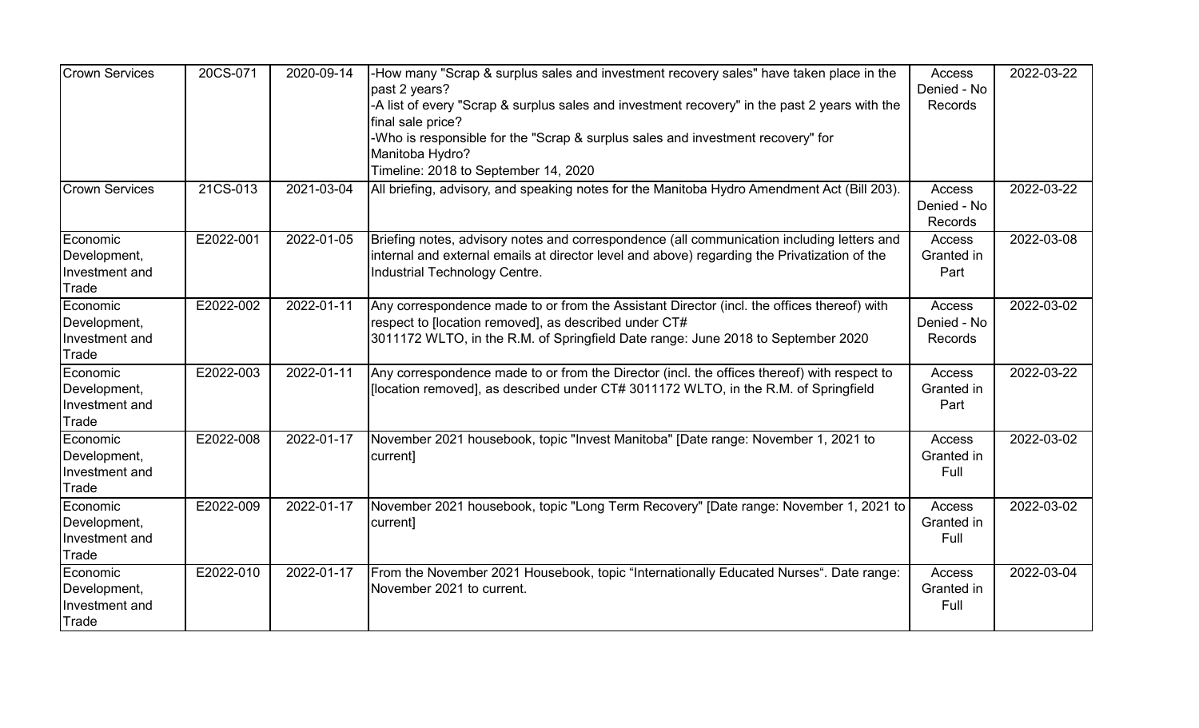| <b>Crown Services</b>                               | 20CS-071  | 2020-09-14 | -How many "Scrap & surplus sales and investment recovery sales" have taken place in the<br>past 2 years?<br>-A list of every "Scrap & surplus sales and investment recovery" in the past 2 years with the<br>final sale price?<br>-Who is responsible for the "Scrap & surplus sales and investment recovery" for<br>Manitoba Hydro?<br>Timeline: 2018 to September 14, 2020 | Access<br>Denied - No<br>Records        | 2022-03-22 |
|-----------------------------------------------------|-----------|------------|------------------------------------------------------------------------------------------------------------------------------------------------------------------------------------------------------------------------------------------------------------------------------------------------------------------------------------------------------------------------------|-----------------------------------------|------------|
| <b>Crown Services</b>                               | 21CS-013  | 2021-03-04 | All briefing, advisory, and speaking notes for the Manitoba Hydro Amendment Act (Bill 203).                                                                                                                                                                                                                                                                                  | Access<br>Denied - No<br>Records        | 2022-03-22 |
| Economic<br>Development,<br>Investment and<br>Trade | E2022-001 | 2022-01-05 | Briefing notes, advisory notes and correspondence (all communication including letters and<br>internal and external emails at director level and above) regarding the Privatization of the<br>Industrial Technology Centre.                                                                                                                                                  | Access<br>Granted in<br>Part            | 2022-03-08 |
| Economic<br>Development,<br>Investment and<br>Trade | E2022-002 | 2022-01-11 | Any correspondence made to or from the Assistant Director (incl. the offices thereof) with<br>respect to [location removed], as described under CT#<br>3011172 WLTO, in the R.M. of Springfield Date range: June 2018 to September 2020                                                                                                                                      | <b>Access</b><br>Denied - No<br>Records | 2022-03-02 |
| Economic<br>Development,<br>Investment and<br>Trade | E2022-003 | 2022-01-11 | Any correspondence made to or from the Director (incl. the offices thereof) with respect to<br>[location removed], as described under CT# 3011172 WLTO, in the R.M. of Springfield                                                                                                                                                                                           | Access<br>Granted in<br>Part            | 2022-03-22 |
| Economic<br>Development,<br>Investment and<br>Trade | E2022-008 | 2022-01-17 | November 2021 housebook, topic "Invest Manitoba" [Date range: November 1, 2021 to<br>current]                                                                                                                                                                                                                                                                                | Access<br>Granted in<br>Full            | 2022-03-02 |
| Economic<br>Development,<br>Investment and<br>Trade | E2022-009 | 2022-01-17 | November 2021 housebook, topic "Long Term Recovery" [Date range: November 1, 2021 to<br>current]                                                                                                                                                                                                                                                                             | Access<br>Granted in<br>Full            | 2022-03-02 |
| Economic<br>Development,<br>Investment and<br>Trade | E2022-010 | 2022-01-17 | From the November 2021 Housebook, topic "Internationally Educated Nurses". Date range:<br>November 2021 to current.                                                                                                                                                                                                                                                          | Access<br>Granted in<br>Full            | 2022-03-04 |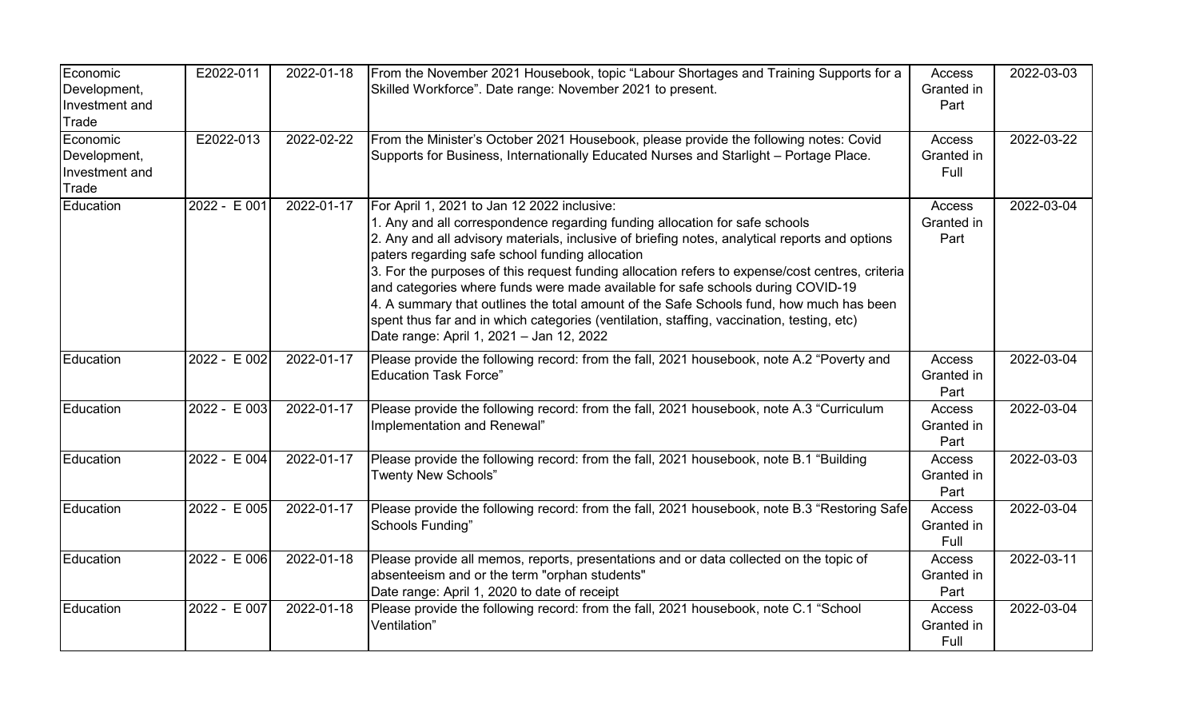| Economic<br>Development,<br>Investment and<br>Trade | E2022-011    | 2022-01-18 | From the November 2021 Housebook, topic "Labour Shortages and Training Supports for a<br>Skilled Workforce". Date range: November 2021 to present.                                                                                                                                                                                                                                                                                                                                                                                                                                                                                                                                                        | Access<br>Granted in<br>Part        | 2022-03-03 |
|-----------------------------------------------------|--------------|------------|-----------------------------------------------------------------------------------------------------------------------------------------------------------------------------------------------------------------------------------------------------------------------------------------------------------------------------------------------------------------------------------------------------------------------------------------------------------------------------------------------------------------------------------------------------------------------------------------------------------------------------------------------------------------------------------------------------------|-------------------------------------|------------|
| Economic<br>Development,<br>Investment and<br>Trade | E2022-013    | 2022-02-22 | From the Minister's October 2021 Housebook, please provide the following notes: Covid<br>Supports for Business, Internationally Educated Nurses and Starlight - Portage Place.                                                                                                                                                                                                                                                                                                                                                                                                                                                                                                                            | Access<br>Granted in<br>Full        | 2022-03-22 |
| Education                                           | 2022 - E 001 | 2022-01-17 | For April 1, 2021 to Jan 12 2022 inclusive:<br>1. Any and all correspondence regarding funding allocation for safe schools<br>2. Any and all advisory materials, inclusive of briefing notes, analytical reports and options<br>paters regarding safe school funding allocation<br>3. For the purposes of this request funding allocation refers to expense/cost centres, criteria<br>and categories where funds were made available for safe schools during COVID-19<br>4. A summary that outlines the total amount of the Safe Schools fund, how much has been<br>spent thus far and in which categories (ventilation, staffing, vaccination, testing, etc)<br>Date range: April 1, 2021 - Jan 12, 2022 | Access<br>Granted in<br>Part        | 2022-03-04 |
| Education                                           | 2022 - E 002 | 2022-01-17 | Please provide the following record: from the fall, 2021 housebook, note A.2 "Poverty and<br><b>Education Task Force"</b>                                                                                                                                                                                                                                                                                                                                                                                                                                                                                                                                                                                 | <b>Access</b><br>Granted in<br>Part | 2022-03-04 |
| Education                                           | 2022 - E 003 | 2022-01-17 | Please provide the following record: from the fall, 2021 housebook, note A.3 "Curriculum<br>Implementation and Renewal"                                                                                                                                                                                                                                                                                                                                                                                                                                                                                                                                                                                   | Access<br>Granted in<br>Part        | 2022-03-04 |
| Education                                           | 2022 - E 004 | 2022-01-17 | Please provide the following record: from the fall, 2021 housebook, note B.1 "Building<br><b>Twenty New Schools"</b>                                                                                                                                                                                                                                                                                                                                                                                                                                                                                                                                                                                      | Access<br>Granted in<br>Part        | 2022-03-03 |
| Education                                           | 2022 - E 005 | 2022-01-17 | Please provide the following record: from the fall, 2021 housebook, note B.3 "Restoring Safe<br>Schools Funding"                                                                                                                                                                                                                                                                                                                                                                                                                                                                                                                                                                                          | Access<br>Granted in<br>Full        | 2022-03-04 |
| Education                                           | 2022 - E 006 | 2022-01-18 | Please provide all memos, reports, presentations and or data collected on the topic of<br>absenteeism and or the term "orphan students"<br>Date range: April 1, 2020 to date of receipt                                                                                                                                                                                                                                                                                                                                                                                                                                                                                                                   | <b>Access</b><br>Granted in<br>Part | 2022-03-11 |
| Education                                           | 2022 - E 007 | 2022-01-18 | Please provide the following record: from the fall, 2021 housebook, note C.1 "School<br>Ventilation"                                                                                                                                                                                                                                                                                                                                                                                                                                                                                                                                                                                                      | <b>Access</b><br>Granted in<br>Full | 2022-03-04 |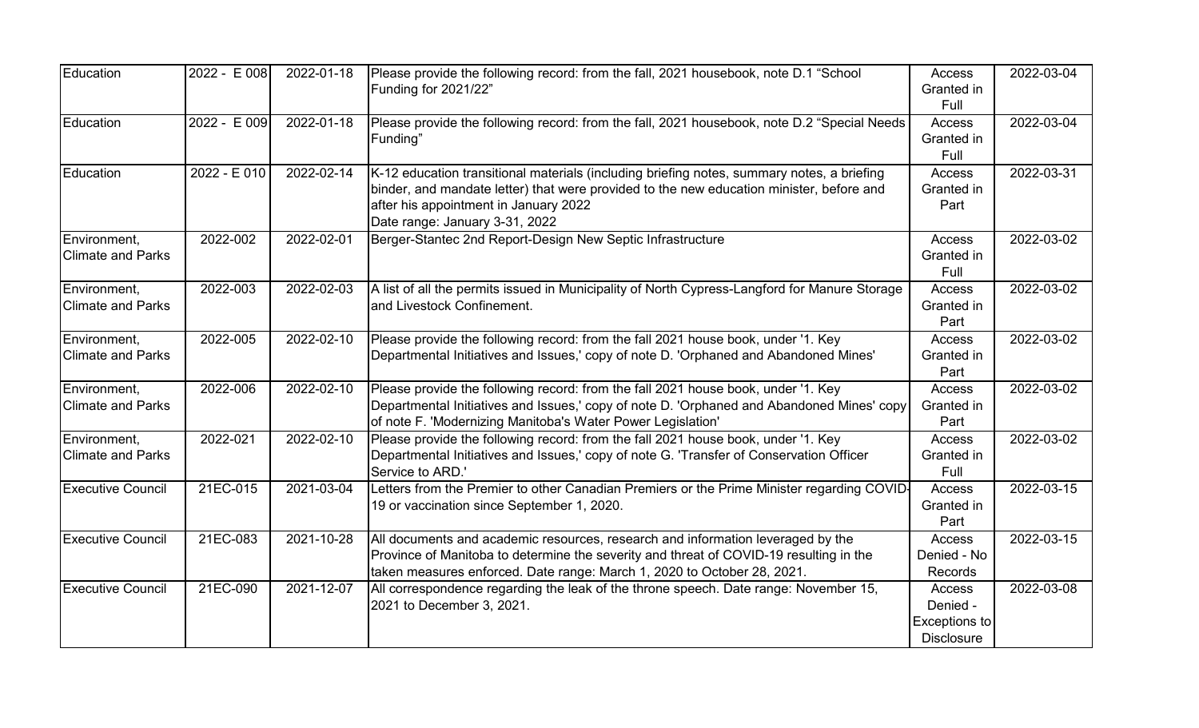| Education                                | 2022 - E 008  | 2022-01-18 | Please provide the following record: from the fall, 2021 housebook, note D.1 "School<br>Funding for 2021/22"                                                                                                                                                      | Access<br>Granted in<br>Full                             | 2022-03-04 |
|------------------------------------------|---------------|------------|-------------------------------------------------------------------------------------------------------------------------------------------------------------------------------------------------------------------------------------------------------------------|----------------------------------------------------------|------------|
| Education                                | $2022 - E009$ | 2022-01-18 | Please provide the following record: from the fall, 2021 housebook, note D.2 "Special Needs<br>Funding"                                                                                                                                                           | Access<br>Granted in<br>Full                             | 2022-03-04 |
| Education                                | 2022 - E 010  | 2022-02-14 | K-12 education transitional materials (including briefing notes, summary notes, a briefing<br>binder, and mandate letter) that were provided to the new education minister, before and<br>after his appointment in January 2022<br>Date range: January 3-31, 2022 | Access<br>Granted in<br>Part                             | 2022-03-31 |
| Environment,<br><b>Climate and Parks</b> | 2022-002      | 2022-02-01 | Berger-Stantec 2nd Report-Design New Septic Infrastructure                                                                                                                                                                                                        | Access<br>Granted in<br>Full                             | 2022-03-02 |
| Environment,<br><b>Climate and Parks</b> | 2022-003      | 2022-02-03 | A list of all the permits issued in Municipality of North Cypress-Langford for Manure Storage<br>and Livestock Confinement.                                                                                                                                       | Access<br>Granted in<br>Part                             | 2022-03-02 |
| Environment,<br><b>Climate and Parks</b> | 2022-005      | 2022-02-10 | Please provide the following record: from the fall 2021 house book, under '1. Key<br>Departmental Initiatives and Issues,' copy of note D. 'Orphaned and Abandoned Mines'                                                                                         | Access<br>Granted in<br>Part                             | 2022-03-02 |
| Environment,<br><b>Climate and Parks</b> | 2022-006      | 2022-02-10 | Please provide the following record: from the fall 2021 house book, under '1. Key<br>Departmental Initiatives and Issues,' copy of note D. 'Orphaned and Abandoned Mines' copy<br>of note F. 'Modernizing Manitoba's Water Power Legislation'                     | Access<br>Granted in<br>Part                             | 2022-03-02 |
| Environment,<br><b>Climate and Parks</b> | 2022-021      | 2022-02-10 | Please provide the following record: from the fall 2021 house book, under '1. Key<br>Departmental Initiatives and Issues,' copy of note G. 'Transfer of Conservation Officer<br>Service to ARD.'                                                                  | Access<br>Granted in<br>Full                             | 2022-03-02 |
| <b>Executive Council</b>                 | 21EC-015      | 2021-03-04 | Letters from the Premier to other Canadian Premiers or the Prime Minister regarding COVID-<br>19 or vaccination since September 1, 2020.                                                                                                                          | Access<br>Granted in<br>Part                             | 2022-03-15 |
| <b>Executive Council</b>                 | 21EC-083      | 2021-10-28 | All documents and academic resources, research and information leveraged by the<br>Province of Manitoba to determine the severity and threat of COVID-19 resulting in the<br>taken measures enforced. Date range: March 1, 2020 to October 28, 2021.              | Access<br>Denied - No<br>Records                         | 2022-03-15 |
| <b>Executive Council</b>                 | 21EC-090      | 2021-12-07 | All correspondence regarding the leak of the throne speech. Date range: November 15,<br>2021 to December 3, 2021.                                                                                                                                                 | Access<br>Denied -<br>Exceptions to<br><b>Disclosure</b> | 2022-03-08 |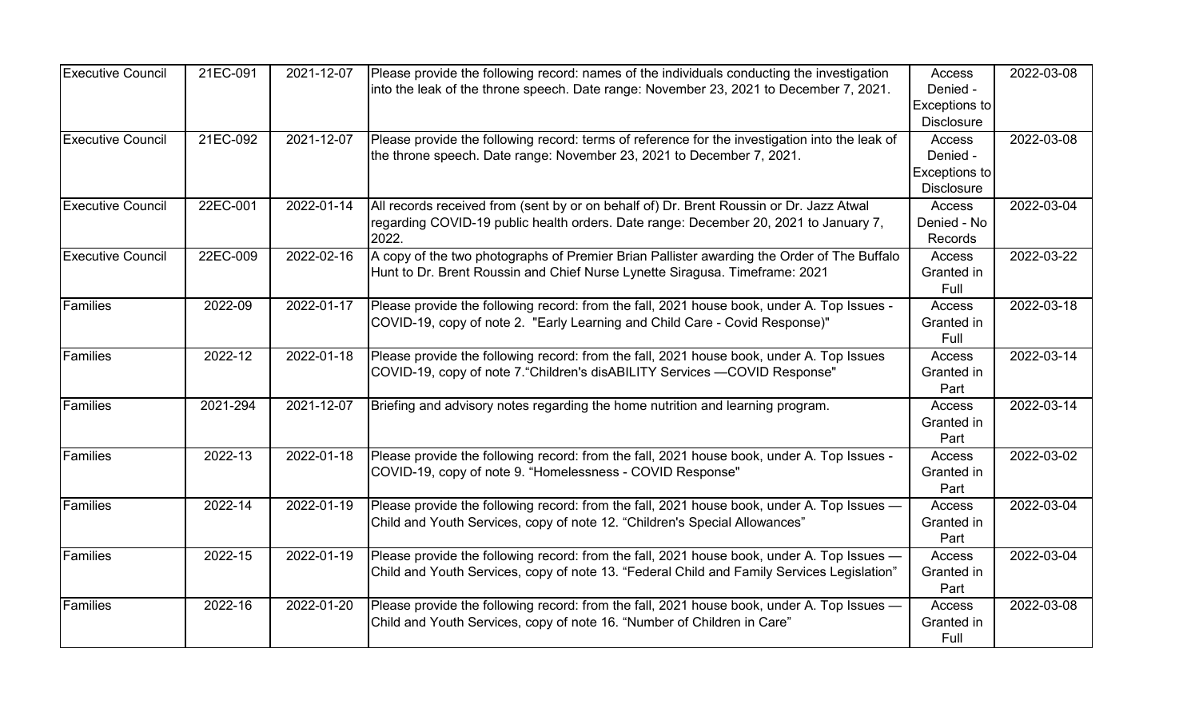| <b>Executive Council</b> | 21EC-091 | 2021-12-07 | Please provide the following record: names of the individuals conducting the investigation                                                                                               | Access                                                   | 2022-03-08 |
|--------------------------|----------|------------|------------------------------------------------------------------------------------------------------------------------------------------------------------------------------------------|----------------------------------------------------------|------------|
|                          |          |            | into the leak of the throne speech. Date range: November 23, 2021 to December 7, 2021.                                                                                                   | Denied -<br>Exceptions to<br><b>Disclosure</b>           |            |
| <b>Executive Council</b> | 21EC-092 | 2021-12-07 | Please provide the following record: terms of reference for the investigation into the leak of<br>the throne speech. Date range: November 23, 2021 to December 7, 2021.                  | Access<br>Denied -<br>Exceptions to<br><b>Disclosure</b> | 2022-03-08 |
| <b>Executive Council</b> | 22EC-001 | 2022-01-14 | All records received from (sent by or on behalf of) Dr. Brent Roussin or Dr. Jazz Atwal<br>regarding COVID-19 public health orders. Date range: December 20, 2021 to January 7,<br>2022. | Access<br>Denied - No<br>Records                         | 2022-03-04 |
| <b>Executive Council</b> | 22EC-009 | 2022-02-16 | A copy of the two photographs of Premier Brian Pallister awarding the Order of The Buffalo<br>Hunt to Dr. Brent Roussin and Chief Nurse Lynette Siragusa. Timeframe: 2021                | Access<br>Granted in<br>Full                             | 2022-03-22 |
| <b>Families</b>          | 2022-09  | 2022-01-17 | Please provide the following record: from the fall, 2021 house book, under A. Top Issues -<br>COVID-19, copy of note 2. "Early Learning and Child Care - Covid Response)"                | Access<br>Granted in<br>Full                             | 2022-03-18 |
| Families                 | 2022-12  | 2022-01-18 | Please provide the following record: from the fall, 2021 house book, under A. Top Issues<br>COVID-19, copy of note 7. "Children's disABILITY Services - COVID Response"                  | Access<br>Granted in<br>Part                             | 2022-03-14 |
| <b>Families</b>          | 2021-294 | 2021-12-07 | Briefing and advisory notes regarding the home nutrition and learning program.                                                                                                           | <b>Access</b><br>Granted in<br>Part                      | 2022-03-14 |
| Families                 | 2022-13  | 2022-01-18 | Please provide the following record: from the fall, 2021 house book, under A. Top Issues -<br>COVID-19, copy of note 9. "Homelessness - COVID Response"                                  | Access<br>Granted in<br>Part                             | 2022-03-02 |
| Families                 | 2022-14  | 2022-01-19 | Please provide the following record: from the fall, 2021 house book, under A. Top Issues —<br>Child and Youth Services, copy of note 12. "Children's Special Allowances"                 | Access<br>Granted in<br>Part                             | 2022-03-04 |
| Families                 | 2022-15  | 2022-01-19 | Please provide the following record: from the fall, 2021 house book, under A. Top Issues —<br>Child and Youth Services, copy of note 13. "Federal Child and Family Services Legislation" | Access<br>Granted in<br>Part                             | 2022-03-04 |
| Families                 | 2022-16  | 2022-01-20 | Please provide the following record: from the fall, 2021 house book, under A. Top Issues —<br>Child and Youth Services, copy of note 16. "Number of Children in Care"                    | Access<br>Granted in<br>Full                             | 2022-03-08 |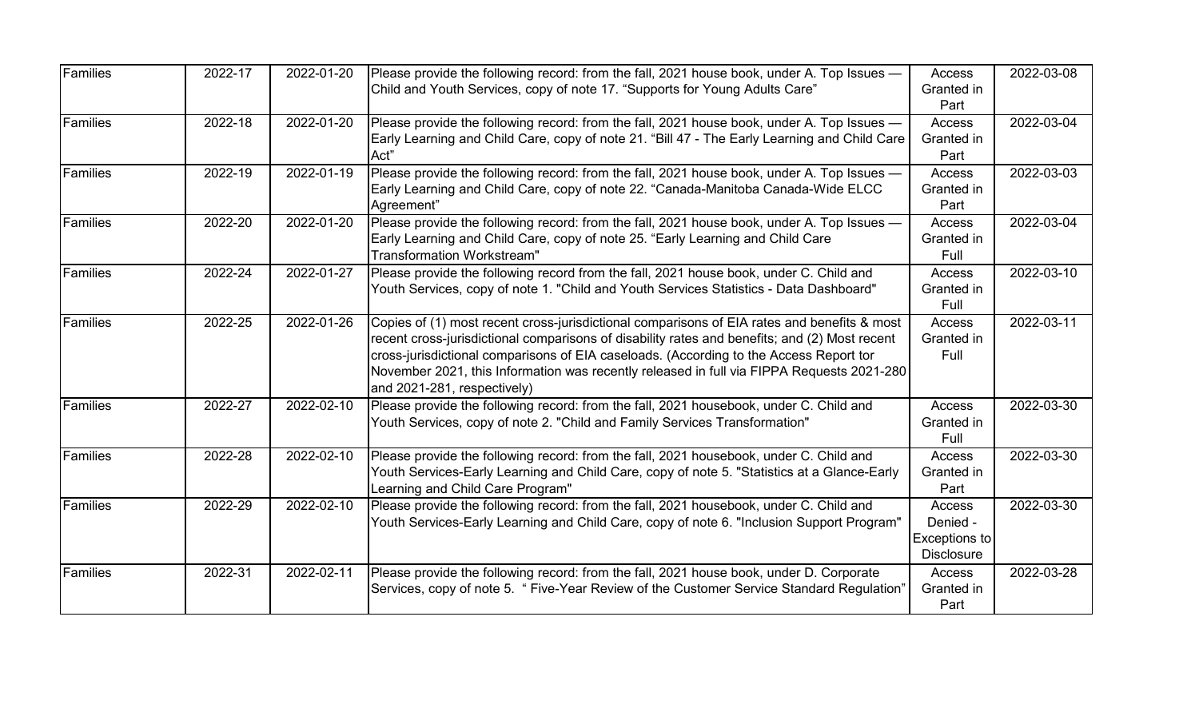| Families        | 2022-17 | 2022-01-20 | Please provide the following record: from the fall, 2021 house book, under A. Top Issues —<br>Child and Youth Services, copy of note 17. "Supports for Young Adults Care"                                                                                                                                                                                                                                          | Access<br>Granted in<br>Part                             | 2022-03-08 |
|-----------------|---------|------------|--------------------------------------------------------------------------------------------------------------------------------------------------------------------------------------------------------------------------------------------------------------------------------------------------------------------------------------------------------------------------------------------------------------------|----------------------------------------------------------|------------|
| Families        | 2022-18 | 2022-01-20 | Please provide the following record: from the fall, 2021 house book, under A. Top Issues -<br>Early Learning and Child Care, copy of note 21. "Bill 47 - The Early Learning and Child Care<br>Act"                                                                                                                                                                                                                 | Access<br>Granted in<br>Part                             | 2022-03-04 |
| <b>Families</b> | 2022-19 | 2022-01-19 | Please provide the following record: from the fall, 2021 house book, under A. Top Issues —<br>Early Learning and Child Care, copy of note 22. "Canada-Manitoba Canada-Wide ELCC<br>Agreement"                                                                                                                                                                                                                      | Access<br>Granted in<br>Part                             | 2022-03-03 |
| Families        | 2022-20 | 2022-01-20 | Please provide the following record: from the fall, 2021 house book, under A. Top Issues —<br>Early Learning and Child Care, copy of note 25. "Early Learning and Child Care<br><b>Transformation Workstream"</b>                                                                                                                                                                                                  | Access<br>Granted in<br>Full                             | 2022-03-04 |
| Families        | 2022-24 | 2022-01-27 | Please provide the following record from the fall, 2021 house book, under C. Child and<br>Youth Services, copy of note 1. "Child and Youth Services Statistics - Data Dashboard"                                                                                                                                                                                                                                   | Access<br>Granted in<br>Full                             | 2022-03-10 |
| Families        | 2022-25 | 2022-01-26 | Copies of (1) most recent cross-jurisdictional comparisons of EIA rates and benefits & most<br>recent cross-jurisdictional comparisons of disability rates and benefits; and (2) Most recent<br>cross-jurisdictional comparisons of EIA caseloads. (According to the Access Report tor<br>November 2021, this Information was recently released in full via FIPPA Requests 2021-280<br>and 2021-281, respectively) | Access<br>Granted in<br>Full                             | 2022-03-11 |
| <b>Families</b> | 2022-27 | 2022-02-10 | Please provide the following record: from the fall, 2021 housebook, under C. Child and<br>Youth Services, copy of note 2. "Child and Family Services Transformation"                                                                                                                                                                                                                                               | Access<br>Granted in<br>Full                             | 2022-03-30 |
| Families        | 2022-28 | 2022-02-10 | Please provide the following record: from the fall, 2021 housebook, under C. Child and<br>Youth Services-Early Learning and Child Care, copy of note 5. "Statistics at a Glance-Early<br>Learning and Child Care Program"                                                                                                                                                                                          | Access<br>Granted in<br>Part                             | 2022-03-30 |
| Families        | 2022-29 | 2022-02-10 | Please provide the following record: from the fall, 2021 housebook, under C. Child and<br>Youth Services-Early Learning and Child Care, copy of note 6. "Inclusion Support Program"                                                                                                                                                                                                                                | Access<br>Denied -<br>Exceptions to<br><b>Disclosure</b> | 2022-03-30 |
| Families        | 2022-31 | 2022-02-11 | Please provide the following record: from the fall, 2021 house book, under D. Corporate<br>Services, copy of note 5. " Five-Year Review of the Customer Service Standard Regulation"                                                                                                                                                                                                                               | Access<br>Granted in<br>Part                             | 2022-03-28 |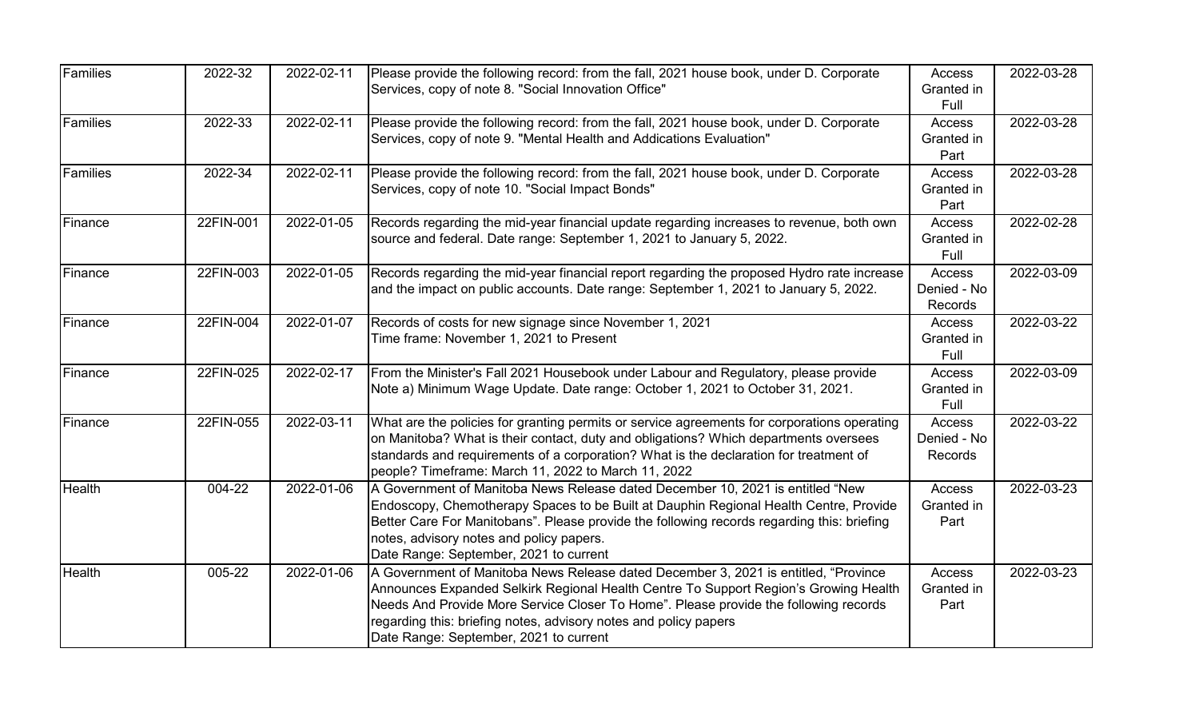| Families | 2022-32   | 2022-02-11 | Please provide the following record: from the fall, 2021 house book, under D. Corporate<br>Services, copy of note 8. "Social Innovation Office"                                                                                                                                                                                                                                    | Access<br>Granted in                | 2022-03-28 |
|----------|-----------|------------|------------------------------------------------------------------------------------------------------------------------------------------------------------------------------------------------------------------------------------------------------------------------------------------------------------------------------------------------------------------------------------|-------------------------------------|------------|
|          |           |            |                                                                                                                                                                                                                                                                                                                                                                                    | Full                                |            |
| Families | 2022-33   | 2022-02-11 | Please provide the following record: from the fall, 2021 house book, under D. Corporate<br>Services, copy of note 9. "Mental Health and Addications Evaluation"                                                                                                                                                                                                                    | Access<br>Granted in<br>Part        | 2022-03-28 |
| Families | 2022-34   | 2022-02-11 | Please provide the following record: from the fall, 2021 house book, under D. Corporate<br>Services, copy of note 10. "Social Impact Bonds"                                                                                                                                                                                                                                        | <b>Access</b><br>Granted in<br>Part | 2022-03-28 |
| Finance  | 22FIN-001 | 2022-01-05 | Records regarding the mid-year financial update regarding increases to revenue, both own<br>source and federal. Date range: September 1, 2021 to January 5, 2022.                                                                                                                                                                                                                  | Access<br>Granted in<br>Full        | 2022-02-28 |
| Finance  | 22FIN-003 | 2022-01-05 | Records regarding the mid-year financial report regarding the proposed Hydro rate increase<br>and the impact on public accounts. Date range: September 1, 2021 to January 5, 2022.                                                                                                                                                                                                 | Access<br>Denied - No<br>Records    | 2022-03-09 |
| Finance  | 22FIN-004 | 2022-01-07 | Records of costs for new signage since November 1, 2021<br>Time frame: November 1, 2021 to Present                                                                                                                                                                                                                                                                                 | Access<br>Granted in<br>Full        | 2022-03-22 |
| Finance  | 22FIN-025 | 2022-02-17 | From the Minister's Fall 2021 Housebook under Labour and Regulatory, please provide<br>Note a) Minimum Wage Update. Date range: October 1, 2021 to October 31, 2021.                                                                                                                                                                                                               | Access<br>Granted in<br>Full        | 2022-03-09 |
| Finance  | 22FIN-055 | 2022-03-11 | What are the policies for granting permits or service agreements for corporations operating<br>on Manitoba? What is their contact, duty and obligations? Which departments oversees<br>standards and requirements of a corporation? What is the declaration for treatment of<br>people? Timeframe: March 11, 2022 to March 11, 2022                                                | Access<br>Denied - No<br>Records    | 2022-03-22 |
| Health   | 004-22    | 2022-01-06 | A Government of Manitoba News Release dated December 10, 2021 is entitled "New<br>Endoscopy, Chemotherapy Spaces to be Built at Dauphin Regional Health Centre, Provide<br>Better Care For Manitobans". Please provide the following records regarding this: briefing<br>notes, advisory notes and policy papers.<br>Date Range: September, 2021 to current                        | Access<br>Granted in<br>Part        | 2022-03-23 |
| Health   | 005-22    | 2022-01-06 | A Government of Manitoba News Release dated December 3, 2021 is entitled, "Province"<br>Announces Expanded Selkirk Regional Health Centre To Support Region's Growing Health<br>Needs And Provide More Service Closer To Home". Please provide the following records<br>regarding this: briefing notes, advisory notes and policy papers<br>Date Range: September, 2021 to current | Access<br>Granted in<br>Part        | 2022-03-23 |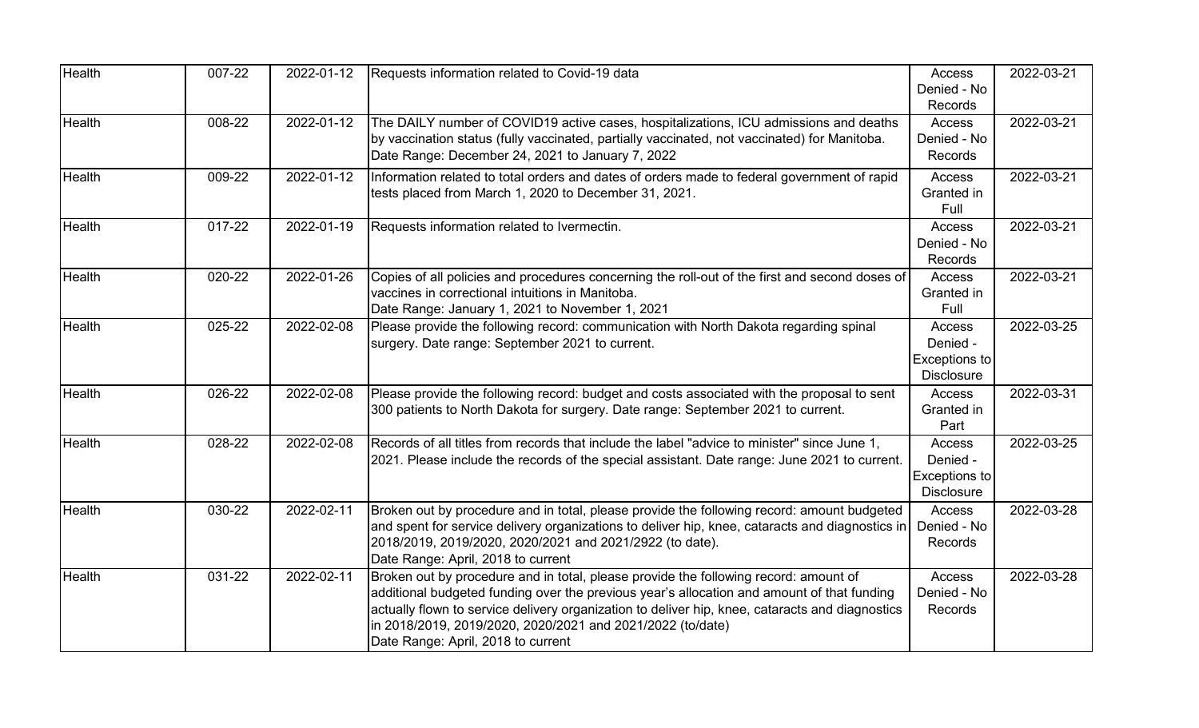| <b>Health</b> | 007-22 | 2022-01-12 | Requests information related to Covid-19 data                                                                                                                                                                                                                                                                                                                                             | Access<br>Denied - No<br><b>Records</b>                  | 2022-03-21 |
|---------------|--------|------------|-------------------------------------------------------------------------------------------------------------------------------------------------------------------------------------------------------------------------------------------------------------------------------------------------------------------------------------------------------------------------------------------|----------------------------------------------------------|------------|
| Health        | 008-22 | 2022-01-12 | The DAILY number of COVID19 active cases, hospitalizations, ICU admissions and deaths<br>by vaccination status (fully vaccinated, partially vaccinated, not vaccinated) for Manitoba.<br>Date Range: December 24, 2021 to January 7, 2022                                                                                                                                                 | Access<br>Denied - No<br><b>Records</b>                  | 2022-03-21 |
| <b>Health</b> | 009-22 | 2022-01-12 | Information related to total orders and dates of orders made to federal government of rapid<br>tests placed from March 1, 2020 to December 31, 2021.                                                                                                                                                                                                                                      | Access<br>Granted in<br>Full                             | 2022-03-21 |
| Health        | 017-22 | 2022-01-19 | Requests information related to Ivermectin.                                                                                                                                                                                                                                                                                                                                               | Access<br>Denied - No<br>Records                         | 2022-03-21 |
| <b>Health</b> | 020-22 | 2022-01-26 | Copies of all policies and procedures concerning the roll-out of the first and second doses of<br>vaccines in correctional intuitions in Manitoba.<br>Date Range: January 1, 2021 to November 1, 2021                                                                                                                                                                                     | Access<br>Granted in<br>Full                             | 2022-03-21 |
| Health        | 025-22 | 2022-02-08 | Please provide the following record: communication with North Dakota regarding spinal<br>surgery. Date range: September 2021 to current.                                                                                                                                                                                                                                                  | Access<br>Denied -<br>Exceptions to<br><b>Disclosure</b> | 2022-03-25 |
| Health        | 026-22 | 2022-02-08 | Please provide the following record: budget and costs associated with the proposal to sent<br>300 patients to North Dakota for surgery. Date range: September 2021 to current.                                                                                                                                                                                                            | Access<br>Granted in<br>Part                             | 2022-03-31 |
| <b>Health</b> | 028-22 | 2022-02-08 | Records of all titles from records that include the label "advice to minister" since June 1,<br>2021. Please include the records of the special assistant. Date range: June 2021 to current.                                                                                                                                                                                              | Access<br>Denied -<br>Exceptions to<br><b>Disclosure</b> | 2022-03-25 |
| Health        | 030-22 | 2022-02-11 | Broken out by procedure and in total, please provide the following record: amount budgeted<br>and spent for service delivery organizations to deliver hip, knee, cataracts and diagnostics in<br>2018/2019, 2019/2020, 2020/2021 and 2021/2922 (to date).<br>Date Range: April, 2018 to current                                                                                           | Access<br>Denied - No<br><b>Records</b>                  | 2022-03-28 |
| <b>Health</b> | 031-22 | 2022-02-11 | Broken out by procedure and in total, please provide the following record: amount of<br>additional budgeted funding over the previous year's allocation and amount of that funding<br>actually flown to service delivery organization to deliver hip, knee, cataracts and diagnostics<br>in 2018/2019, 2019/2020, 2020/2021 and 2021/2022 (to/date)<br>Date Range: April, 2018 to current | Access<br>Denied - No<br>Records                         | 2022-03-28 |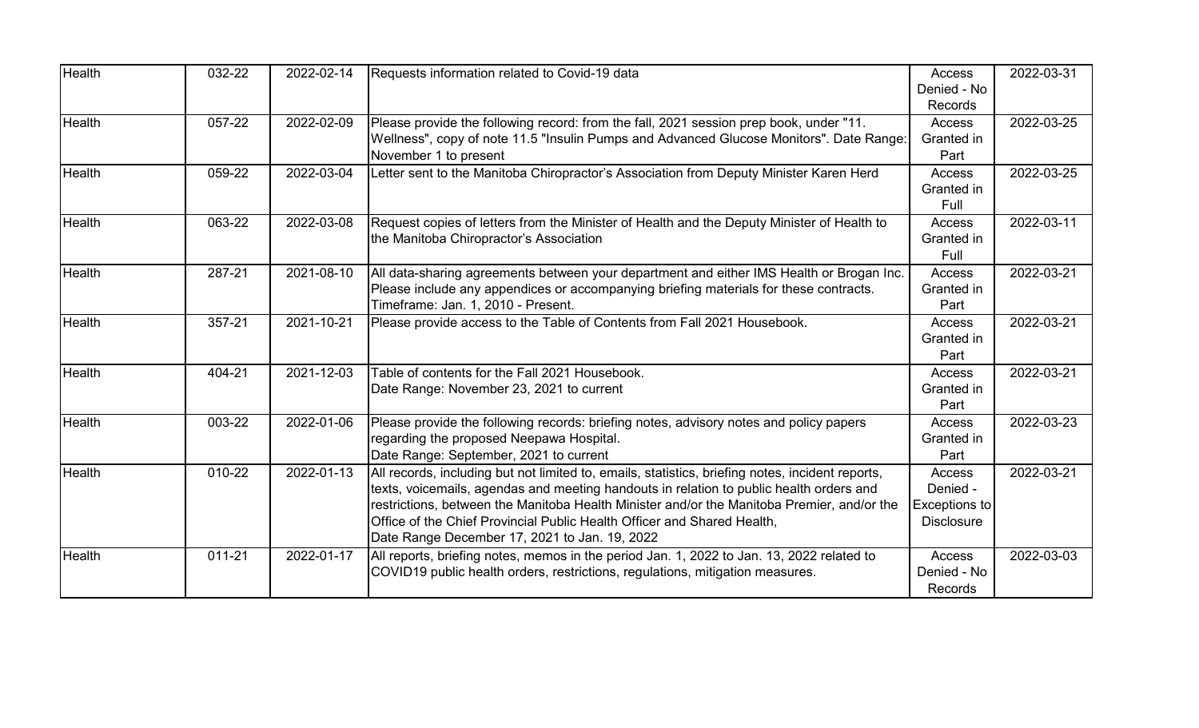| <b>Health</b> | 032-22     | 2022-02-14 | Requests information related to Covid-19 data                                                                                                                                                                                                                                                                                                                                                                         | <b>Access</b><br>Denied - No                                    | 2022-03-31 |
|---------------|------------|------------|-----------------------------------------------------------------------------------------------------------------------------------------------------------------------------------------------------------------------------------------------------------------------------------------------------------------------------------------------------------------------------------------------------------------------|-----------------------------------------------------------------|------------|
| <b>Health</b> | 057-22     | 2022-02-09 | Please provide the following record: from the fall, 2021 session prep book, under "11.<br>Wellness", copy of note 11.5 "Insulin Pumps and Advanced Glucose Monitors". Date Range:<br>November 1 to present                                                                                                                                                                                                            | Records<br><b>Access</b><br>Granted in<br>Part                  | 2022-03-25 |
| <b>Health</b> | 059-22     | 2022-03-04 | Letter sent to the Manitoba Chiropractor's Association from Deputy Minister Karen Herd                                                                                                                                                                                                                                                                                                                                | <b>Access</b><br>Granted in<br>Full                             | 2022-03-25 |
| <b>Health</b> | 063-22     | 2022-03-08 | Request copies of letters from the Minister of Health and the Deputy Minister of Health to<br>the Manitoba Chiropractor's Association                                                                                                                                                                                                                                                                                 | Access<br>Granted in<br>Full                                    | 2022-03-11 |
| <b>Health</b> | 287-21     | 2021-08-10 | All data-sharing agreements between your department and either IMS Health or Brogan Inc.<br>Please include any appendices or accompanying briefing materials for these contracts.<br>Timeframe: Jan. 1, 2010 - Present.                                                                                                                                                                                               | Access<br>Granted in<br>Part                                    | 2022-03-21 |
| <b>Health</b> | 357-21     | 2021-10-21 | Please provide access to the Table of Contents from Fall 2021 Housebook.                                                                                                                                                                                                                                                                                                                                              | <b>Access</b><br>Granted in<br>Part                             | 2022-03-21 |
| <b>Health</b> | 404-21     | 2021-12-03 | Table of contents for the Fall 2021 Housebook.<br>Date Range: November 23, 2021 to current                                                                                                                                                                                                                                                                                                                            | <b>Access</b><br>Granted in<br>Part                             | 2022-03-21 |
| <b>Health</b> | 003-22     | 2022-01-06 | Please provide the following records: briefing notes, advisory notes and policy papers<br>regarding the proposed Neepawa Hospital.<br>Date Range: September, 2021 to current                                                                                                                                                                                                                                          | Access<br>Granted in<br>Part                                    | 2022-03-23 |
| <b>Health</b> | 010-22     | 2022-01-13 | All records, including but not limited to, emails, statistics, briefing notes, incident reports,<br>texts, voicemails, agendas and meeting handouts in relation to public health orders and<br>restrictions, between the Manitoba Health Minister and/or the Manitoba Premier, and/or the<br>Office of the Chief Provincial Public Health Officer and Shared Health,<br>Date Range December 17, 2021 to Jan. 19, 2022 | <b>Access</b><br>Denied -<br>Exceptions to<br><b>Disclosure</b> | 2022-03-21 |
| <b>Health</b> | $011 - 21$ | 2022-01-17 | All reports, briefing notes, memos in the period Jan. 1, 2022 to Jan. 13, 2022 related to<br>COVID19 public health orders, restrictions, regulations, mitigation measures.                                                                                                                                                                                                                                            | Access<br>Denied - No<br>Records                                | 2022-03-03 |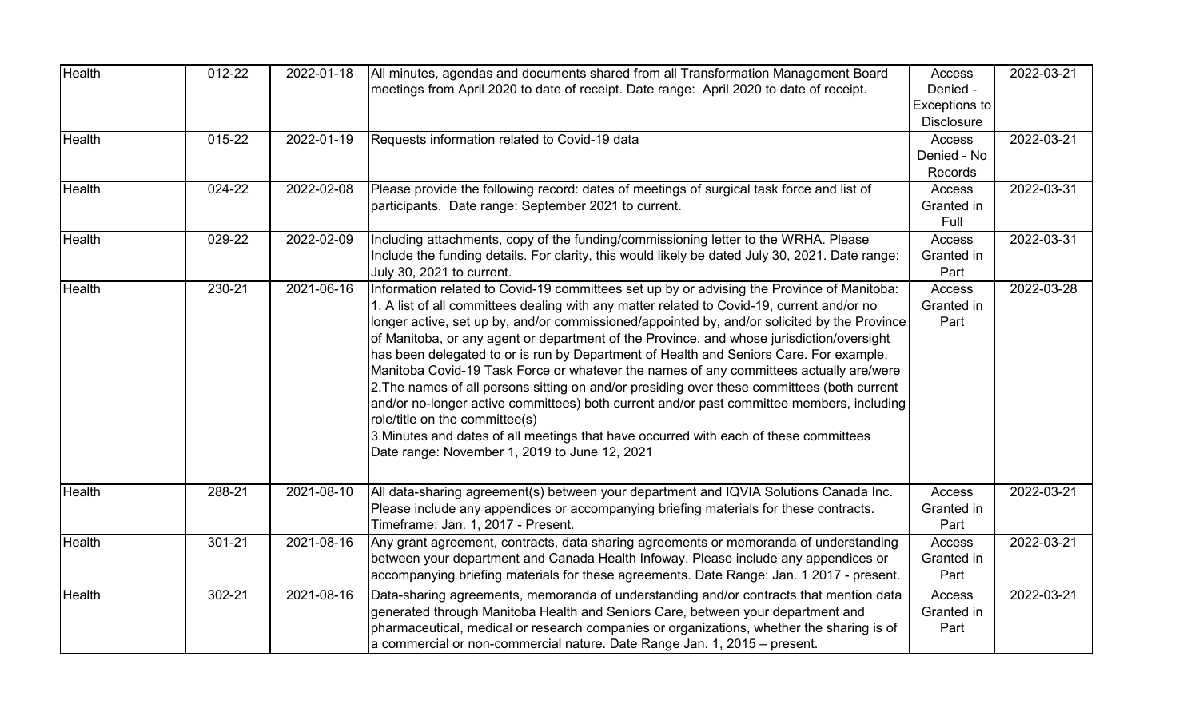| Health        | 012-22 | 2022-01-18 | All minutes, agendas and documents shared from all Transformation Management Board<br>meetings from April 2020 to date of receipt. Date range: April 2020 to date of receipt.                                                                                                                                                                                                                                                                                                                                                                                                                                                                                                                                                                                                                                                                                                                                                                     | Access<br>Denied -<br>Exceptions to<br><b>Disclosure</b> | 2022-03-21 |
|---------------|--------|------------|---------------------------------------------------------------------------------------------------------------------------------------------------------------------------------------------------------------------------------------------------------------------------------------------------------------------------------------------------------------------------------------------------------------------------------------------------------------------------------------------------------------------------------------------------------------------------------------------------------------------------------------------------------------------------------------------------------------------------------------------------------------------------------------------------------------------------------------------------------------------------------------------------------------------------------------------------|----------------------------------------------------------|------------|
| <b>Health</b> | 015-22 | 2022-01-19 | Requests information related to Covid-19 data                                                                                                                                                                                                                                                                                                                                                                                                                                                                                                                                                                                                                                                                                                                                                                                                                                                                                                     | Access<br>Denied - No<br>Records                         | 2022-03-21 |
| <b>Health</b> | 024-22 | 2022-02-08 | Please provide the following record: dates of meetings of surgical task force and list of<br>participants. Date range: September 2021 to current.                                                                                                                                                                                                                                                                                                                                                                                                                                                                                                                                                                                                                                                                                                                                                                                                 | Access<br>Granted in<br>Full                             | 2022-03-31 |
| <b>Health</b> | 029-22 | 2022-02-09 | Including attachments, copy of the funding/commissioning letter to the WRHA. Please<br>Include the funding details. For clarity, this would likely be dated July 30, 2021. Date range:<br>July 30, 2021 to current.                                                                                                                                                                                                                                                                                                                                                                                                                                                                                                                                                                                                                                                                                                                               | Access<br>Granted in<br>Part                             | 2022-03-31 |
| <b>Health</b> | 230-21 | 2021-06-16 | Information related to Covid-19 committees set up by or advising the Province of Manitoba:<br>1. A list of all committees dealing with any matter related to Covid-19, current and/or no<br>longer active, set up by, and/or commissioned/appointed by, and/or solicited by the Province<br>of Manitoba, or any agent or department of the Province, and whose jurisdiction/oversight<br>has been delegated to or is run by Department of Health and Seniors Care. For example,<br>Manitoba Covid-19 Task Force or whatever the names of any committees actually are/were<br>2. The names of all persons sitting on and/or presiding over these committees (both current<br>and/or no-longer active committees) both current and/or past committee members, including<br>role/title on the committee(s)<br>3. Minutes and dates of all meetings that have occurred with each of these committees<br>Date range: November 1, 2019 to June 12, 2021 | Access<br>Granted in<br>Part                             | 2022-03-28 |
| Health        | 288-21 | 2021-08-10 | All data-sharing agreement(s) between your department and IQVIA Solutions Canada Inc.<br>Please include any appendices or accompanying briefing materials for these contracts.<br>Timeframe: Jan. 1, 2017 - Present.                                                                                                                                                                                                                                                                                                                                                                                                                                                                                                                                                                                                                                                                                                                              | Access<br>Granted in<br>Part                             | 2022-03-21 |
| <b>Health</b> | 301-21 | 2021-08-16 | Any grant agreement, contracts, data sharing agreements or memoranda of understanding<br>between your department and Canada Health Infoway. Please include any appendices or<br>accompanying briefing materials for these agreements. Date Range: Jan. 1 2017 - present.                                                                                                                                                                                                                                                                                                                                                                                                                                                                                                                                                                                                                                                                          | Access<br>Granted in<br>Part                             | 2022-03-21 |
| Health        | 302-21 | 2021-08-16 | Data-sharing agreements, memoranda of understanding and/or contracts that mention data<br>generated through Manitoba Health and Seniors Care, between your department and<br>pharmaceutical, medical or research companies or organizations, whether the sharing is of<br>a commercial or non-commercial nature. Date Range Jan. 1, 2015 – present.                                                                                                                                                                                                                                                                                                                                                                                                                                                                                                                                                                                               | <b>Access</b><br>Granted in<br>Part                      | 2022-03-21 |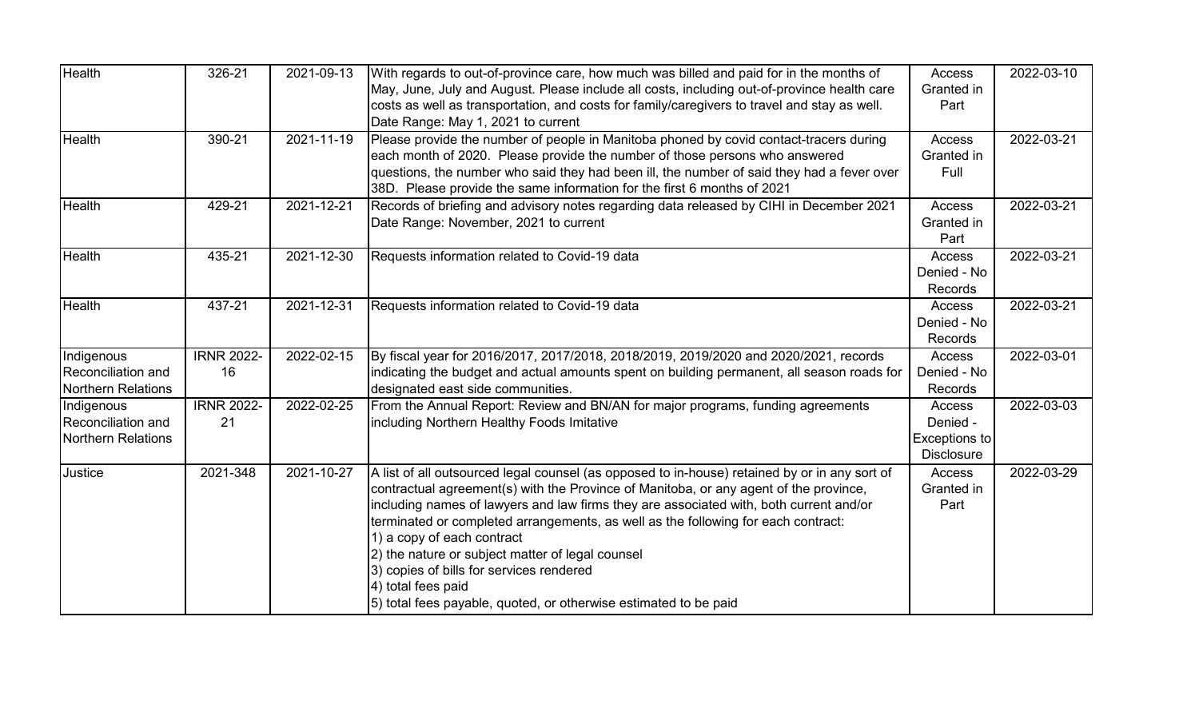| Health                                                 | 326-21                  | 2021-09-13 | With regards to out-of-province care, how much was billed and paid for in the months of<br>May, June, July and August. Please include all costs, including out-of-province health care<br>costs as well as transportation, and costs for family/caregivers to travel and stay as well.<br>Date Range: May 1, 2021 to current                                                                                                                                                                                                                                                                  | Access<br>Granted in<br>Part                                    | 2022-03-10 |
|--------------------------------------------------------|-------------------------|------------|-----------------------------------------------------------------------------------------------------------------------------------------------------------------------------------------------------------------------------------------------------------------------------------------------------------------------------------------------------------------------------------------------------------------------------------------------------------------------------------------------------------------------------------------------------------------------------------------------|-----------------------------------------------------------------|------------|
| Health                                                 | 390-21                  | 2021-11-19 | Please provide the number of people in Manitoba phoned by covid contact-tracers during<br>each month of 2020. Please provide the number of those persons who answered<br>questions, the number who said they had been ill, the number of said they had a fever over<br>38D. Please provide the same information for the first 6 months of 2021                                                                                                                                                                                                                                                | Access<br>Granted in<br>Full                                    | 2022-03-21 |
| Health                                                 | 429-21                  | 2021-12-21 | Records of briefing and advisory notes regarding data released by CIHI in December 2021<br>Date Range: November, 2021 to current                                                                                                                                                                                                                                                                                                                                                                                                                                                              | Access<br>Granted in<br>Part                                    | 2022-03-21 |
| Health                                                 | 435-21                  | 2021-12-30 | Requests information related to Covid-19 data                                                                                                                                                                                                                                                                                                                                                                                                                                                                                                                                                 | <b>Access</b><br>Denied - No<br>Records                         | 2022-03-21 |
| Health                                                 | 437-21                  | 2021-12-31 | Requests information related to Covid-19 data                                                                                                                                                                                                                                                                                                                                                                                                                                                                                                                                                 | Access<br>Denied - No<br>Records                                | 2022-03-21 |
| Indigenous<br>Reconciliation and<br>Northern Relations | <b>IRNR 2022-</b><br>16 | 2022-02-15 | By fiscal year for 2016/2017, 2017/2018, 2018/2019, 2019/2020 and 2020/2021, records<br>indicating the budget and actual amounts spent on building permanent, all season roads for<br>designated east side communities.                                                                                                                                                                                                                                                                                                                                                                       | Access<br>Denied - No<br>Records                                | 2022-03-01 |
| Indigenous<br>Reconciliation and<br>Northern Relations | <b>IRNR 2022-</b><br>21 | 2022-02-25 | From the Annual Report: Review and BN/AN for major programs, funding agreements<br>including Northern Healthy Foods Imitative                                                                                                                                                                                                                                                                                                                                                                                                                                                                 | <b>Access</b><br>Denied -<br>Exceptions to<br><b>Disclosure</b> | 2022-03-03 |
| Justice                                                | 2021-348                | 2021-10-27 | A list of all outsourced legal counsel (as opposed to in-house) retained by or in any sort of<br>contractual agreement(s) with the Province of Manitoba, or any agent of the province,<br>including names of lawyers and law firms they are associated with, both current and/or<br>terminated or completed arrangements, as well as the following for each contract:<br>1) a copy of each contract<br>2) the nature or subject matter of legal counsel<br>3) copies of bills for services rendered<br>4) total fees paid<br>5) total fees payable, quoted, or otherwise estimated to be paid | Access<br>Granted in<br>Part                                    | 2022-03-29 |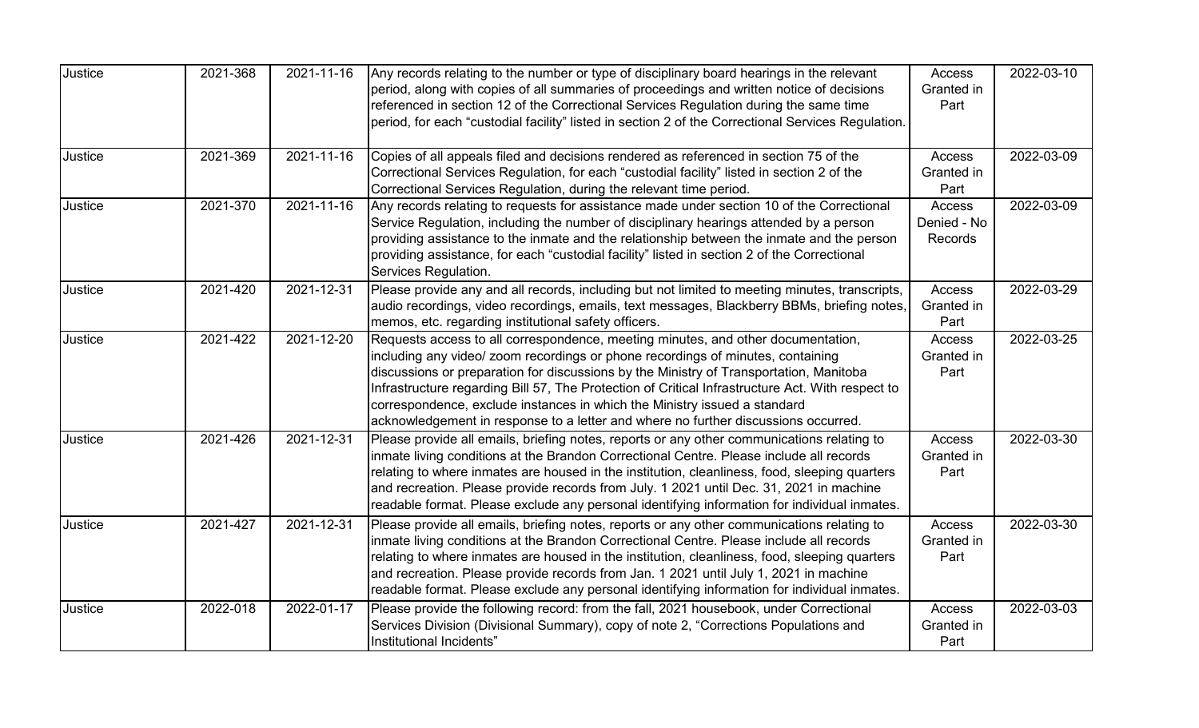| Justice | 2021-368 | 2021-11-16 | Any records relating to the number or type of disciplinary board hearings in the relevant<br>period, along with copies of all summaries of proceedings and written notice of decisions<br>referenced in section 12 of the Correctional Services Regulation during the same time<br>period, for each "custodial facility" listed in section 2 of the Correctional Services Regulation.                                                                                                                                                | Access<br>Granted in<br>Part        | 2022-03-10 |
|---------|----------|------------|--------------------------------------------------------------------------------------------------------------------------------------------------------------------------------------------------------------------------------------------------------------------------------------------------------------------------------------------------------------------------------------------------------------------------------------------------------------------------------------------------------------------------------------|-------------------------------------|------------|
| Justice | 2021-369 | 2021-11-16 | Copies of all appeals filed and decisions rendered as referenced in section 75 of the<br>Correctional Services Regulation, for each "custodial facility" listed in section 2 of the<br>Correctional Services Regulation, during the relevant time period.                                                                                                                                                                                                                                                                            | Access<br>Granted in<br>Part        | 2022-03-09 |
| Justice | 2021-370 | 2021-11-16 | Any records relating to requests for assistance made under section 10 of the Correctional<br>Service Regulation, including the number of disciplinary hearings attended by a person<br>providing assistance to the inmate and the relationship between the inmate and the person<br>providing assistance, for each "custodial facility" listed in section 2 of the Correctional<br>Services Regulation.                                                                                                                              | Access<br>Denied - No<br>Records    | 2022-03-09 |
| Justice | 2021-420 | 2021-12-31 | Please provide any and all records, including but not limited to meeting minutes, transcripts,<br>audio recordings, video recordings, emails, text messages, Blackberry BBMs, briefing notes,<br>memos, etc. regarding institutional safety officers.                                                                                                                                                                                                                                                                                | Access<br>Granted in<br>Part        | 2022-03-29 |
| Justice | 2021-422 | 2021-12-20 | Requests access to all correspondence, meeting minutes, and other documentation,<br>including any video/ zoom recordings or phone recordings of minutes, containing<br>discussions or preparation for discussions by the Ministry of Transportation, Manitoba<br>Infrastructure regarding Bill 57, The Protection of Critical Infrastructure Act. With respect to<br>correspondence, exclude instances in which the Ministry issued a standard<br>acknowledgement in response to a letter and where no further discussions occurred. | Access<br>Granted in<br>Part        | 2022-03-25 |
| Justice | 2021-426 | 2021-12-31 | Please provide all emails, briefing notes, reports or any other communications relating to<br>inmate living conditions at the Brandon Correctional Centre. Please include all records<br>relating to where inmates are housed in the institution, cleanliness, food, sleeping quarters<br>and recreation. Please provide records from July. 1 2021 until Dec. 31, 2021 in machine<br>readable format. Please exclude any personal identifying information for individual inmates.                                                    | <b>Access</b><br>Granted in<br>Part | 2022-03-30 |
| Justice | 2021-427 | 2021-12-31 | Please provide all emails, briefing notes, reports or any other communications relating to<br>inmate living conditions at the Brandon Correctional Centre. Please include all records<br>relating to where inmates are housed in the institution, cleanliness, food, sleeping quarters<br>and recreation. Please provide records from Jan. 1 2021 until July 1, 2021 in machine<br>readable format. Please exclude any personal identifying information for individual inmates.                                                      | Access<br>Granted in<br>Part        | 2022-03-30 |
| Justice | 2022-018 | 2022-01-17 | Please provide the following record: from the fall, 2021 housebook, under Correctional<br>Services Division (Divisional Summary), copy of note 2, "Corrections Populations and<br>Institutional Incidents"                                                                                                                                                                                                                                                                                                                           | Access<br>Granted in<br>Part        | 2022-03-03 |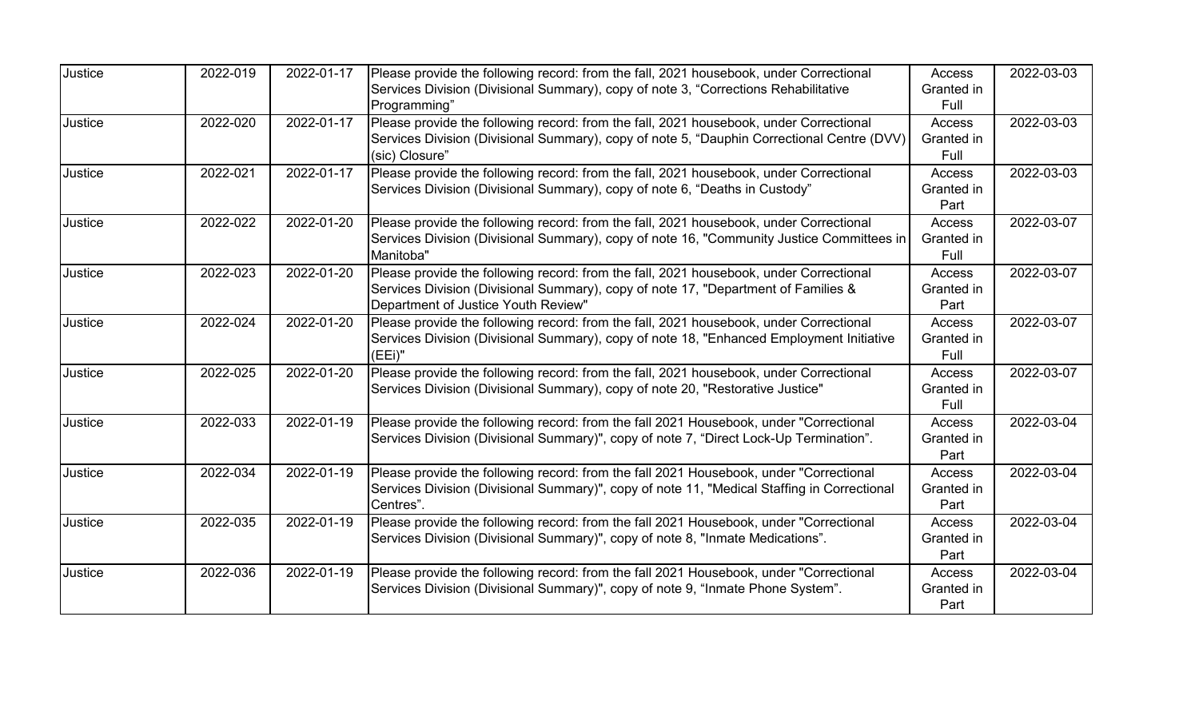| Justice | 2022-019 | 2022-01-17 | Please provide the following record: from the fall, 2021 housebook, under Correctional      | Access     | 2022-03-03 |
|---------|----------|------------|---------------------------------------------------------------------------------------------|------------|------------|
|         |          |            | Services Division (Divisional Summary), copy of note 3, "Corrections Rehabilitative         | Granted in |            |
|         |          |            | Programming"                                                                                | Full       |            |
| Justice | 2022-020 | 2022-01-17 | Please provide the following record: from the fall, 2021 housebook, under Correctional      | Access     | 2022-03-03 |
|         |          |            | Services Division (Divisional Summary), copy of note 5, "Dauphin Correctional Centre (DVV)  | Granted in |            |
|         |          |            | (sic) Closure"                                                                              | Full       |            |
| Justice | 2022-021 | 2022-01-17 | Please provide the following record: from the fall, 2021 housebook, under Correctional      | Access     | 2022-03-03 |
|         |          |            | Services Division (Divisional Summary), copy of note 6, "Deaths in Custody"                 | Granted in |            |
|         |          |            |                                                                                             | Part       |            |
| Justice | 2022-022 | 2022-01-20 | Please provide the following record: from the fall, 2021 housebook, under Correctional      | Access     | 2022-03-07 |
|         |          |            | Services Division (Divisional Summary), copy of note 16, "Community Justice Committees in   | Granted in |            |
|         |          |            | Manitoba"                                                                                   | Full       |            |
| Justice | 2022-023 | 2022-01-20 | Please provide the following record: from the fall, 2021 housebook, under Correctional      | Access     | 2022-03-07 |
|         |          |            | Services Division (Divisional Summary), copy of note 17, "Department of Families &          | Granted in |            |
|         |          |            | Department of Justice Youth Review"                                                         | Part       |            |
| Justice | 2022-024 | 2022-01-20 | Please provide the following record: from the fall, 2021 housebook, under Correctional      | Access     | 2022-03-07 |
|         |          |            | Services Division (Divisional Summary), copy of note 18, "Enhanced Employment Initiative    | Granted in |            |
|         |          |            | (EEi)"                                                                                      | Full       |            |
| Justice | 2022-025 | 2022-01-20 | Please provide the following record: from the fall, 2021 housebook, under Correctional      | Access     | 2022-03-07 |
|         |          |            | Services Division (Divisional Summary), copy of note 20, "Restorative Justice"              | Granted in |            |
|         |          |            |                                                                                             | Full       |            |
| Justice | 2022-033 | 2022-01-19 | Please provide the following record: from the fall 2021 Housebook, under "Correctional      | Access     | 2022-03-04 |
|         |          |            | Services Division (Divisional Summary)", copy of note 7, "Direct Lock-Up Termination".      | Granted in |            |
|         |          |            |                                                                                             | Part       |            |
| Justice | 2022-034 | 2022-01-19 | Please provide the following record: from the fall 2021 Housebook, under "Correctional      | Access     | 2022-03-04 |
|         |          |            | Services Division (Divisional Summary)", copy of note 11, "Medical Staffing in Correctional | Granted in |            |
|         |          |            | Centres".                                                                                   | Part       |            |
| Justice | 2022-035 | 2022-01-19 | Please provide the following record: from the fall 2021 Housebook, under "Correctional      | Access     | 2022-03-04 |
|         |          |            | Services Division (Divisional Summary)", copy of note 8, "Inmate Medications".              | Granted in |            |
|         |          |            |                                                                                             | Part       |            |
| Justice | 2022-036 | 2022-01-19 | Please provide the following record: from the fall 2021 Housebook, under "Correctional      | Access     | 2022-03-04 |
|         |          |            | Services Division (Divisional Summary)", copy of note 9, "Inmate Phone System".             | Granted in |            |
|         |          |            |                                                                                             | Part       |            |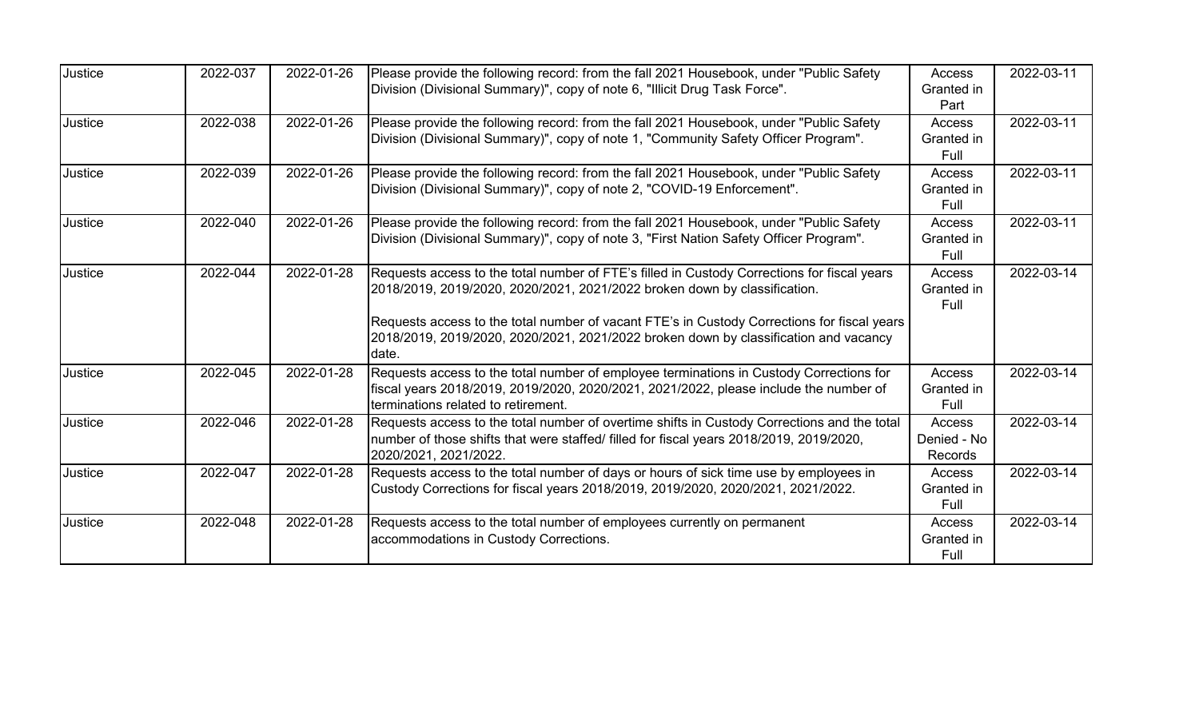| Justice | 2022-037 | 2022-01-26 | Please provide the following record: from the fall 2021 Housebook, under "Public Safety<br>Division (Divisional Summary)", copy of note 6, "Illicit Drug Task Force".                                                                                                                                                                                                    | Access<br>Granted in<br>Part            | 2022-03-11 |
|---------|----------|------------|--------------------------------------------------------------------------------------------------------------------------------------------------------------------------------------------------------------------------------------------------------------------------------------------------------------------------------------------------------------------------|-----------------------------------------|------------|
| Justice | 2022-038 | 2022-01-26 | Please provide the following record: from the fall 2021 Housebook, under "Public Safety<br>Division (Divisional Summary)", copy of note 1, "Community Safety Officer Program".                                                                                                                                                                                           | Access<br>Granted in<br>Full            | 2022-03-11 |
| Justice | 2022-039 | 2022-01-26 | Please provide the following record: from the fall 2021 Housebook, under "Public Safety<br>Division (Divisional Summary)", copy of note 2, "COVID-19 Enforcement".                                                                                                                                                                                                       | Access<br>Granted in<br>Full            | 2022-03-11 |
| Justice | 2022-040 | 2022-01-26 | Please provide the following record: from the fall 2021 Housebook, under "Public Safety<br>Division (Divisional Summary)", copy of note 3, "First Nation Safety Officer Program".                                                                                                                                                                                        | Access<br>Granted in<br>Full            | 2022-03-11 |
| Justice | 2022-044 | 2022-01-28 | Requests access to the total number of FTE's filled in Custody Corrections for fiscal years<br>2018/2019, 2019/2020, 2020/2021, 2021/2022 broken down by classification.<br>Requests access to the total number of vacant FTE's in Custody Corrections for fiscal years<br>2018/2019, 2019/2020, 2020/2021, 2021/2022 broken down by classification and vacancy<br>date. | Access<br>Granted in<br>Full            | 2022-03-14 |
| Justice | 2022-045 | 2022-01-28 | Requests access to the total number of employee terminations in Custody Corrections for<br>fiscal years 2018/2019, 2019/2020, 2020/2021, 2021/2022, please include the number of<br>terminations related to retirement.                                                                                                                                                  | Access<br>Granted in<br>Full            | 2022-03-14 |
| Justice | 2022-046 | 2022-01-28 | Requests access to the total number of overtime shifts in Custody Corrections and the total<br>number of those shifts that were staffed/ filled for fiscal years 2018/2019, 2019/2020,<br>2020/2021, 2021/2022.                                                                                                                                                          | Access<br>Denied - No<br><b>Records</b> | 2022-03-14 |
| Justice | 2022-047 | 2022-01-28 | Requests access to the total number of days or hours of sick time use by employees in<br>Custody Corrections for fiscal years 2018/2019, 2019/2020, 2020/2021, 2021/2022.                                                                                                                                                                                                | Access<br>Granted in<br>Full            | 2022-03-14 |
| Justice | 2022-048 | 2022-01-28 | Requests access to the total number of employees currently on permanent<br>accommodations in Custody Corrections.                                                                                                                                                                                                                                                        | Access<br>Granted in<br>Full            | 2022-03-14 |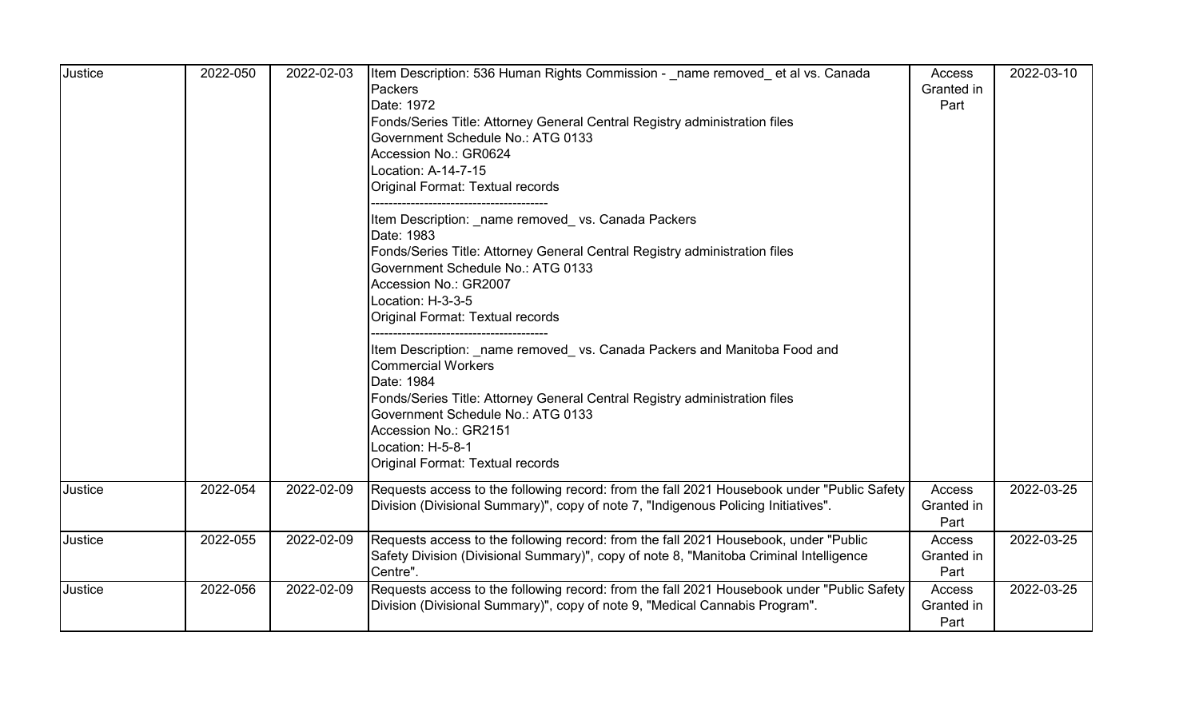| Justice | 2022-050 | 2022-02-03 | Item Description: 536 Human Rights Commission - name removed et al vs. Canada<br>Packers<br>Date: 1972<br>Fonds/Series Title: Attorney General Central Registry administration files<br>Government Schedule No.: ATG 0133<br>Accession No.: GR0624<br>Location: A-14-7-15<br>Original Format: Textual records<br>Item Description: name removed vs. Canada Packers<br>Date: 1983<br>Fonds/Series Title: Attorney General Central Registry administration files<br>Government Schedule No.: ATG 0133<br>Accession No.: GR2007<br>Location: H-3-3-5<br>Original Format: Textual records<br>Item Description: name removed vs. Canada Packers and Manitoba Food and<br><b>Commercial Workers</b><br>Date: 1984<br>Fonds/Series Title: Attorney General Central Registry administration files<br>Government Schedule No.: ATG 0133<br>Accession No.: GR2151<br>Location: H-5-8-1<br>Original Format: Textual records | Access<br>Granted in<br>Part | 2022-03-10 |
|---------|----------|------------|------------------------------------------------------------------------------------------------------------------------------------------------------------------------------------------------------------------------------------------------------------------------------------------------------------------------------------------------------------------------------------------------------------------------------------------------------------------------------------------------------------------------------------------------------------------------------------------------------------------------------------------------------------------------------------------------------------------------------------------------------------------------------------------------------------------------------------------------------------------------------------------------------------------|------------------------------|------------|
| Justice | 2022-054 | 2022-02-09 | Requests access to the following record: from the fall 2021 Housebook under "Public Safety<br>Division (Divisional Summary)", copy of note 7, "Indigenous Policing Initiatives".                                                                                                                                                                                                                                                                                                                                                                                                                                                                                                                                                                                                                                                                                                                                 | Access<br>Granted in<br>Part | 2022-03-25 |
| Justice | 2022-055 | 2022-02-09 | Requests access to the following record: from the fall 2021 Housebook, under "Public<br>Safety Division (Divisional Summary)", copy of note 8, "Manitoba Criminal Intelligence<br>Centre".                                                                                                                                                                                                                                                                                                                                                                                                                                                                                                                                                                                                                                                                                                                       | Access<br>Granted in<br>Part | 2022-03-25 |
| Justice | 2022-056 | 2022-02-09 | Requests access to the following record: from the fall 2021 Housebook under "Public Safety<br>Division (Divisional Summary)", copy of note 9, "Medical Cannabis Program".                                                                                                                                                                                                                                                                                                                                                                                                                                                                                                                                                                                                                                                                                                                                        | Access<br>Granted in<br>Part | 2022-03-25 |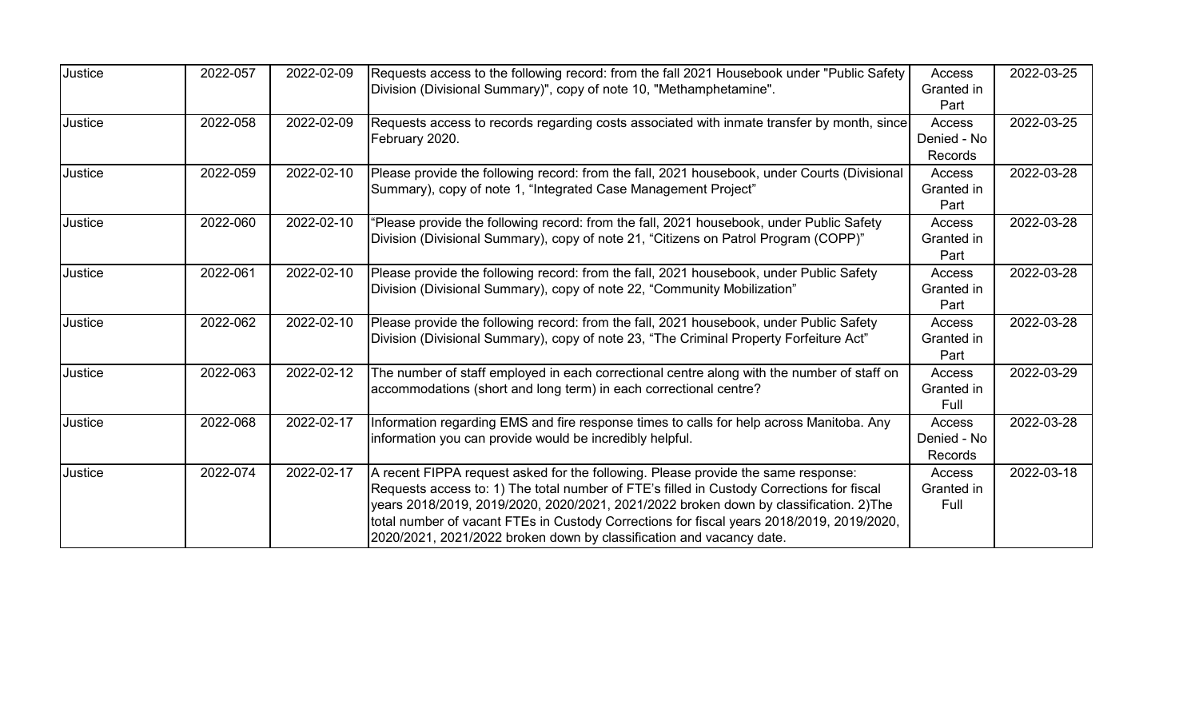| Justice | 2022-057 | 2022-02-09 | Requests access to the following record: from the fall 2021 Housebook under "Public Safety                                                                                     | Access                      | 2022-03-25 |
|---------|----------|------------|--------------------------------------------------------------------------------------------------------------------------------------------------------------------------------|-----------------------------|------------|
|         |          |            | Division (Divisional Summary)", copy of note 10, "Methamphetamine".                                                                                                            | Granted in<br>Part          |            |
| Justice | 2022-058 | 2022-02-09 | Requests access to records regarding costs associated with inmate transfer by month, since                                                                                     | <b>Access</b>               | 2022-03-25 |
|         |          |            | February 2020.                                                                                                                                                                 | Denied - No<br>Records      |            |
| Justice | 2022-059 | 2022-02-10 | Please provide the following record: from the fall, 2021 housebook, under Courts (Divisional                                                                                   | Access                      | 2022-03-28 |
|         |          |            | Summary), copy of note 1, "Integrated Case Management Project"                                                                                                                 | Granted in<br>Part          |            |
| Justice | 2022-060 | 2022-02-10 | 'Please provide the following record: from the fall, 2021 housebook, under Public Safety                                                                                       | Access                      | 2022-03-28 |
|         |          |            | Division (Divisional Summary), copy of note 21, "Citizens on Patrol Program (COPP)"                                                                                            | Granted in<br>Part          |            |
| Justice | 2022-061 | 2022-02-10 | Please provide the following record: from the fall, 2021 housebook, under Public Safety                                                                                        | Access                      | 2022-03-28 |
|         |          |            | Division (Divisional Summary), copy of note 22, "Community Mobilization"                                                                                                       | Granted in<br>Part          |            |
| Justice | 2022-062 | 2022-02-10 | Please provide the following record: from the fall, 2021 housebook, under Public Safety                                                                                        | Access                      | 2022-03-28 |
|         |          |            | Division (Divisional Summary), copy of note 23, "The Criminal Property Forfeiture Act"                                                                                         | Granted in<br>Part          |            |
| Justice | 2022-063 | 2022-02-12 | The number of staff employed in each correctional centre along with the number of staff on                                                                                     | Access                      | 2022-03-29 |
|         |          |            | accommodations (short and long term) in each correctional centre?                                                                                                              | Granted in<br>Full          |            |
| Justice | 2022-068 | 2022-02-17 | Information regarding EMS and fire response times to calls for help across Manitoba. Any                                                                                       | Access                      | 2022-03-28 |
|         |          |            | information you can provide would be incredibly helpful.                                                                                                                       | Denied - No                 |            |
|         |          |            |                                                                                                                                                                                | <b>Records</b>              |            |
| Justice | 2022-074 | 2022-02-17 | A recent FIPPA request asked for the following. Please provide the same response:<br>Requests access to: 1) The total number of FTE's filled in Custody Corrections for fiscal | <b>Access</b><br>Granted in | 2022-03-18 |
|         |          |            | years 2018/2019, 2019/2020, 2020/2021, 2021/2022 broken down by classification. 2)The                                                                                          | Full                        |            |
|         |          |            | total number of vacant FTEs in Custody Corrections for fiscal years 2018/2019, 2019/2020,                                                                                      |                             |            |
|         |          |            | 2020/2021, 2021/2022 broken down by classification and vacancy date.                                                                                                           |                             |            |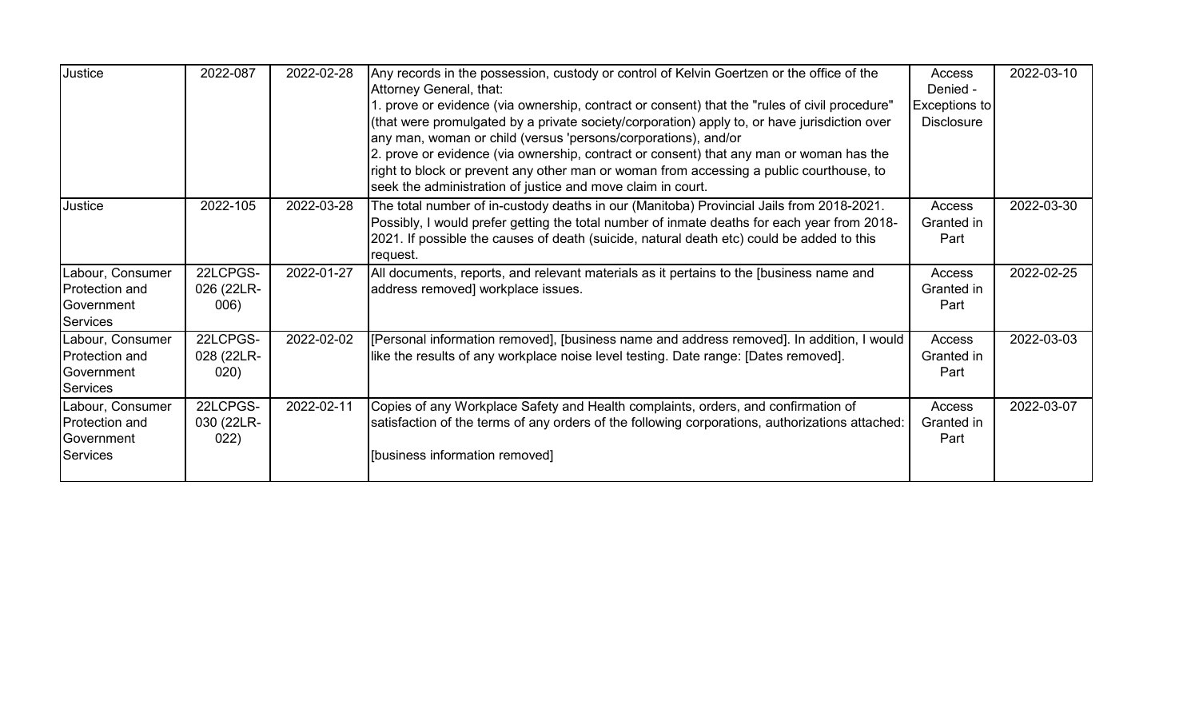| Justice                                                             | 2022-087                       | 2022-02-28 | Any records in the possession, custody or control of Kelvin Goertzen or the office of the<br>Attorney General, that:<br>1. prove or evidence (via ownership, contract or consent) that the "rules of civil procedure"<br>(that were promulgated by a private society/corporation) apply to, or have jurisdiction over<br>any man, woman or child (versus 'persons/corporations), and/or<br>2. prove or evidence (via ownership, contract or consent) that any man or woman has the<br>right to block or prevent any other man or woman from accessing a public courthouse, to<br>seek the administration of justice and move claim in court. | Access<br>Denied -<br>Exceptions to<br><b>Disclosure</b> | 2022-03-10 |
|---------------------------------------------------------------------|--------------------------------|------------|----------------------------------------------------------------------------------------------------------------------------------------------------------------------------------------------------------------------------------------------------------------------------------------------------------------------------------------------------------------------------------------------------------------------------------------------------------------------------------------------------------------------------------------------------------------------------------------------------------------------------------------------|----------------------------------------------------------|------------|
| Justice                                                             | 2022-105                       | 2022-03-28 | The total number of in-custody deaths in our (Manitoba) Provincial Jails from 2018-2021.<br>Possibly, I would prefer getting the total number of inmate deaths for each year from 2018-<br>2021. If possible the causes of death (suicide, natural death etc) could be added to this<br>request.                                                                                                                                                                                                                                                                                                                                             | Access<br>Granted in<br>Part                             | 2022-03-30 |
| Labour, Consumer<br>Protection and<br>Government<br><b>Services</b> | 22LCPGS-<br>026 (22LR-<br>006) | 2022-01-27 | All documents, reports, and relevant materials as it pertains to the [business name and<br>address removed] workplace issues.                                                                                                                                                                                                                                                                                                                                                                                                                                                                                                                | Access<br>Granted in<br>Part                             | 2022-02-25 |
| Labour, Consumer<br>Protection and<br>Government<br><b>Services</b> | 22LCPGS-<br>028 (22LR-<br>020) | 2022-02-02 | [Personal information removed], [business name and address removed]. In addition, I would<br>like the results of any workplace noise level testing. Date range: [Dates removed].                                                                                                                                                                                                                                                                                                                                                                                                                                                             | Access<br>Granted in<br>Part                             | 2022-03-03 |
| Labour, Consumer<br>Protection and<br>Government<br><b>Services</b> | 22LCPGS-<br>030 (22LR-<br>022) | 2022-02-11 | Copies of any Workplace Safety and Health complaints, orders, and confirmation of<br>satisfaction of the terms of any orders of the following corporations, authorizations attached:<br>[business information removed]                                                                                                                                                                                                                                                                                                                                                                                                                       | Access<br>Granted in<br>Part                             | 2022-03-07 |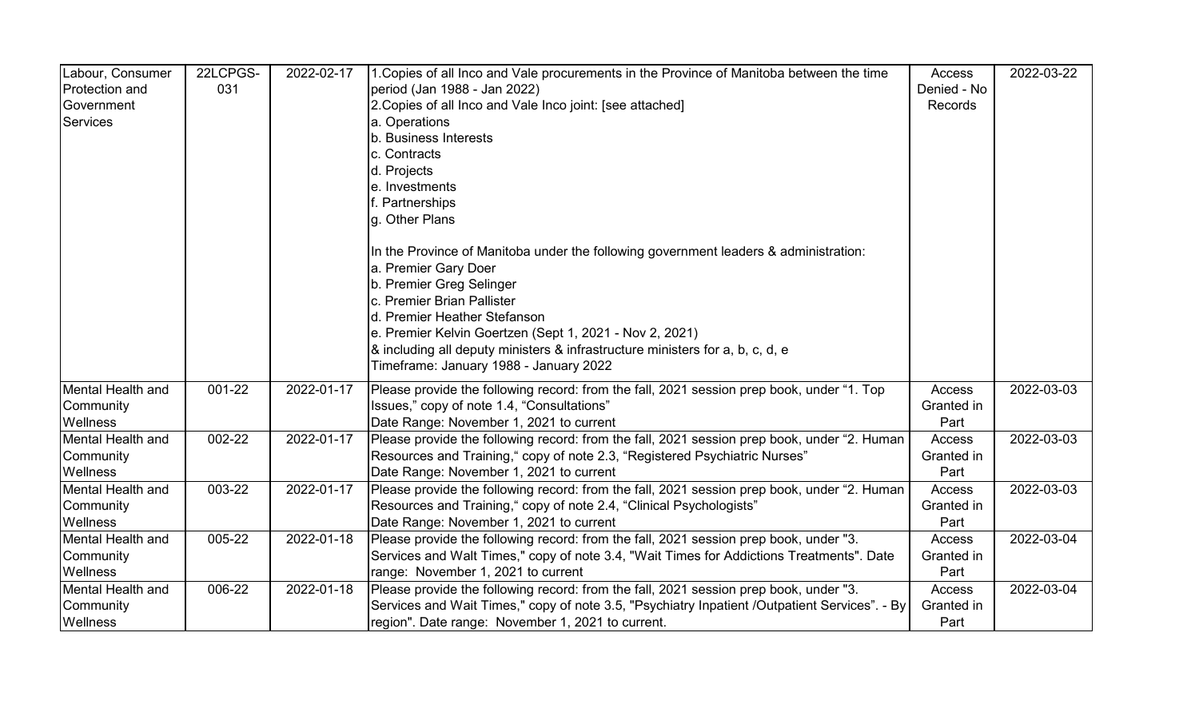| Labour, Consumer      | 22LCPGS- | 2022-02-17 | 1. Copies of all Inco and Vale procurements in the Province of Manitoba between the time      | Access        | 2022-03-22 |
|-----------------------|----------|------------|-----------------------------------------------------------------------------------------------|---------------|------------|
| <b>Protection and</b> | 031      |            | period (Jan 1988 - Jan 2022)                                                                  | Denied - No   |            |
| Government            |          |            | 2. Copies of all Inco and Vale Inco joint: [see attached]                                     | Records       |            |
| Services              |          |            | a. Operations                                                                                 |               |            |
|                       |          |            | b. Business Interests                                                                         |               |            |
|                       |          |            | c. Contracts                                                                                  |               |            |
|                       |          |            | d. Projects                                                                                   |               |            |
|                       |          |            | e. Investments                                                                                |               |            |
|                       |          |            | f. Partnerships                                                                               |               |            |
|                       |          |            | g. Other Plans                                                                                |               |            |
|                       |          |            | In the Province of Manitoba under the following government leaders & administration:          |               |            |
|                       |          |            | a. Premier Gary Doer                                                                          |               |            |
|                       |          |            | b. Premier Greg Selinger                                                                      |               |            |
|                       |          |            | c. Premier Brian Pallister                                                                    |               |            |
|                       |          |            | d. Premier Heather Stefanson                                                                  |               |            |
|                       |          |            | e. Premier Kelvin Goertzen (Sept 1, 2021 - Nov 2, 2021)                                       |               |            |
|                       |          |            | & including all deputy ministers & infrastructure ministers for a, b, c, d, e                 |               |            |
|                       |          |            | Timeframe: January 1988 - January 2022                                                        |               |            |
| Mental Health and     | 001-22   | 2022-01-17 | Please provide the following record: from the fall, 2021 session prep book, under "1. Top     | Access        | 2022-03-03 |
| Community             |          |            | Issues," copy of note 1.4, "Consultations"                                                    | Granted in    |            |
| Wellness              |          |            | Date Range: November 1, 2021 to current                                                       | Part          |            |
| Mental Health and     | 002-22   | 2022-01-17 | Please provide the following record: from the fall, 2021 session prep book, under "2. Human   | <b>Access</b> | 2022-03-03 |
| Community             |          |            | Resources and Training," copy of note 2.3, "Registered Psychiatric Nurses"                    | Granted in    |            |
| Wellness              |          |            | Date Range: November 1, 2021 to current                                                       | Part          |            |
| Mental Health and     | 003-22   | 2022-01-17 | Please provide the following record: from the fall, 2021 session prep book, under "2. Human   | Access        | 2022-03-03 |
| Community             |          |            | Resources and Training," copy of note 2.4, "Clinical Psychologists"                           | Granted in    |            |
| Wellness              |          |            | Date Range: November 1, 2021 to current                                                       | Part          |            |
| Mental Health and     | 005-22   | 2022-01-18 | Please provide the following record: from the fall, 2021 session prep book, under "3.         | Access        | 2022-03-04 |
| Community             |          |            | Services and Walt Times," copy of note 3.4, "Wait Times for Addictions Treatments". Date      | Granted in    |            |
| Wellness              |          |            | range: November 1, 2021 to current                                                            | Part          |            |
| Mental Health and     | 006-22   | 2022-01-18 | Please provide the following record: from the fall, 2021 session prep book, under "3.         | Access        | 2022-03-04 |
| Community             |          |            | Services and Wait Times," copy of note 3.5, "Psychiatry Inpatient /Outpatient Services". - By | Granted in    |            |
| <b>Wellness</b>       |          |            | region". Date range: November 1, 2021 to current.                                             | Part          |            |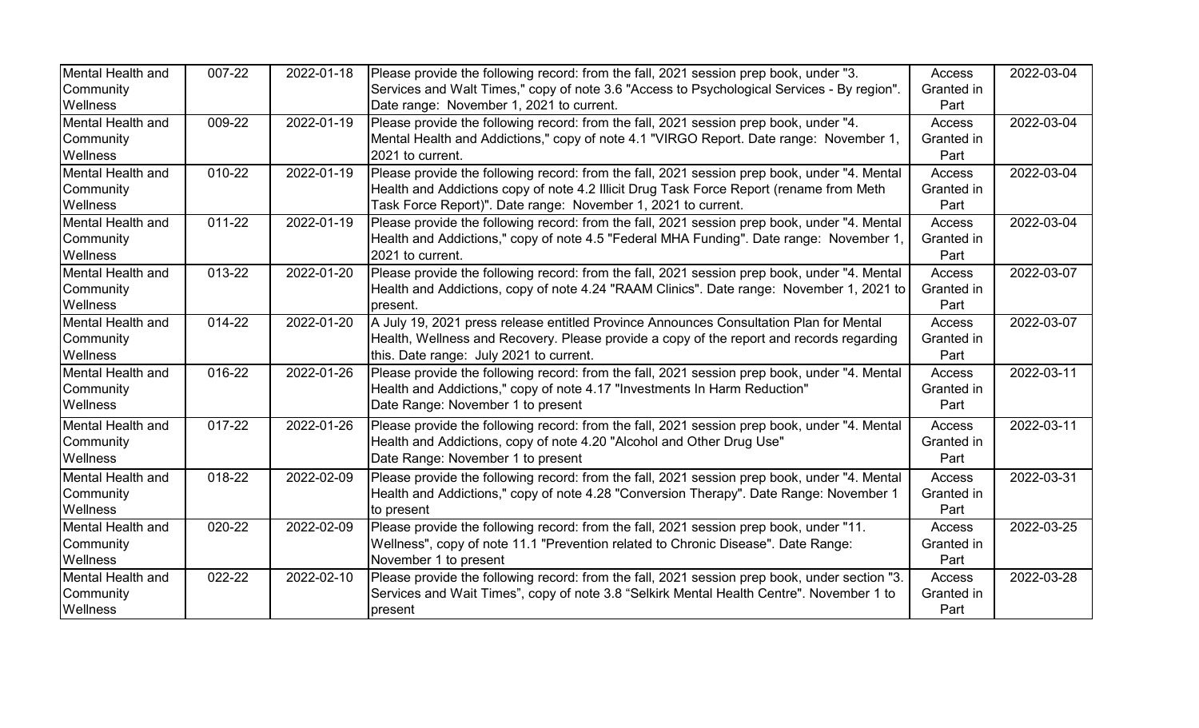| Mental Health and | 007-22     | 2022-01-18 | Please provide the following record: from the fall, 2021 session prep book, under "3.         | Access        | 2022-03-04 |
|-------------------|------------|------------|-----------------------------------------------------------------------------------------------|---------------|------------|
| Community         |            |            | Services and Walt Times," copy of note 3.6 "Access to Psychological Services - By region".    | Granted in    |            |
| <b>Wellness</b>   |            |            | Date range: November 1, 2021 to current.                                                      | Part          |            |
| Mental Health and | 009-22     | 2022-01-19 | Please provide the following record: from the fall, 2021 session prep book, under "4.         | <b>Access</b> | 2022-03-04 |
| Community         |            |            | Mental Health and Addictions," copy of note 4.1 "VIRGO Report. Date range: November 1,        | Granted in    |            |
| <b>Wellness</b>   |            |            | 2021 to current.                                                                              | Part          |            |
| Mental Health and | 010-22     | 2022-01-19 | Please provide the following record: from the fall, 2021 session prep book, under "4. Mental  | <b>Access</b> | 2022-03-04 |
| Community         |            |            | Health and Addictions copy of note 4.2 Illicit Drug Task Force Report (rename from Meth       | Granted in    |            |
| <b>Wellness</b>   |            |            | Task Force Report)". Date range: November 1, 2021 to current.                                 | Part          |            |
| Mental Health and | 011-22     | 2022-01-19 | Please provide the following record: from the fall, 2021 session prep book, under "4. Mental  | <b>Access</b> | 2022-03-04 |
| Community         |            |            | Health and Addictions," copy of note 4.5 "Federal MHA Funding". Date range: November 1        | Granted in    |            |
| <b>Wellness</b>   |            |            | 2021 to current.                                                                              | Part          |            |
| Mental Health and | $013 - 22$ | 2022-01-20 | Please provide the following record: from the fall, 2021 session prep book, under "4. Mental  | Access        | 2022-03-07 |
| Community         |            |            | Health and Addictions, copy of note 4.24 "RAAM Clinics". Date range: November 1, 2021 to      | Granted in    |            |
| <b>Wellness</b>   |            |            | present.                                                                                      | Part          |            |
| Mental Health and | 014-22     | 2022-01-20 | A July 19, 2021 press release entitled Province Announces Consultation Plan for Mental        | Access        | 2022-03-07 |
| Community         |            |            | Health, Wellness and Recovery. Please provide a copy of the report and records regarding      | Granted in    |            |
| <b>Wellness</b>   |            |            | this. Date range: July 2021 to current.                                                       | Part          |            |
| Mental Health and | 016-22     | 2022-01-26 | Please provide the following record: from the fall, 2021 session prep book, under "4. Mental  | <b>Access</b> | 2022-03-11 |
| Community         |            |            | Health and Addictions," copy of note 4.17 "Investments In Harm Reduction"                     | Granted in    |            |
| <b>Wellness</b>   |            |            | Date Range: November 1 to present                                                             | Part          |            |
| Mental Health and | 017-22     | 2022-01-26 | Please provide the following record: from the fall, 2021 session prep book, under "4. Mental  | Access        | 2022-03-11 |
| Community         |            |            | Health and Addictions, copy of note 4.20 "Alcohol and Other Drug Use"                         | Granted in    |            |
| <b>Wellness</b>   |            |            | Date Range: November 1 to present                                                             | Part          |            |
| Mental Health and | $018 - 22$ | 2022-02-09 | Please provide the following record: from the fall, 2021 session prep book, under "4. Mental  | <b>Access</b> | 2022-03-31 |
| Community         |            |            | Health and Addictions," copy of note 4.28 "Conversion Therapy". Date Range: November 1        | Granted in    |            |
| <b>Wellness</b>   |            |            | to present                                                                                    | Part          |            |
| Mental Health and | 020-22     | 2022-02-09 | Please provide the following record: from the fall, 2021 session prep book, under "11.        | Access        | 2022-03-25 |
| Community         |            |            | Wellness", copy of note 11.1 "Prevention related to Chronic Disease". Date Range:             | Granted in    |            |
| <b>Wellness</b>   |            |            | November 1 to present                                                                         | Part          |            |
| Mental Health and | 022-22     | 2022-02-10 | Please provide the following record: from the fall, 2021 session prep book, under section "3. | Access        | 2022-03-28 |
| Community         |            |            | Services and Wait Times", copy of note 3.8 "Selkirk Mental Health Centre". November 1 to      | Granted in    |            |
| <b>Wellness</b>   |            |            | present                                                                                       | Part          |            |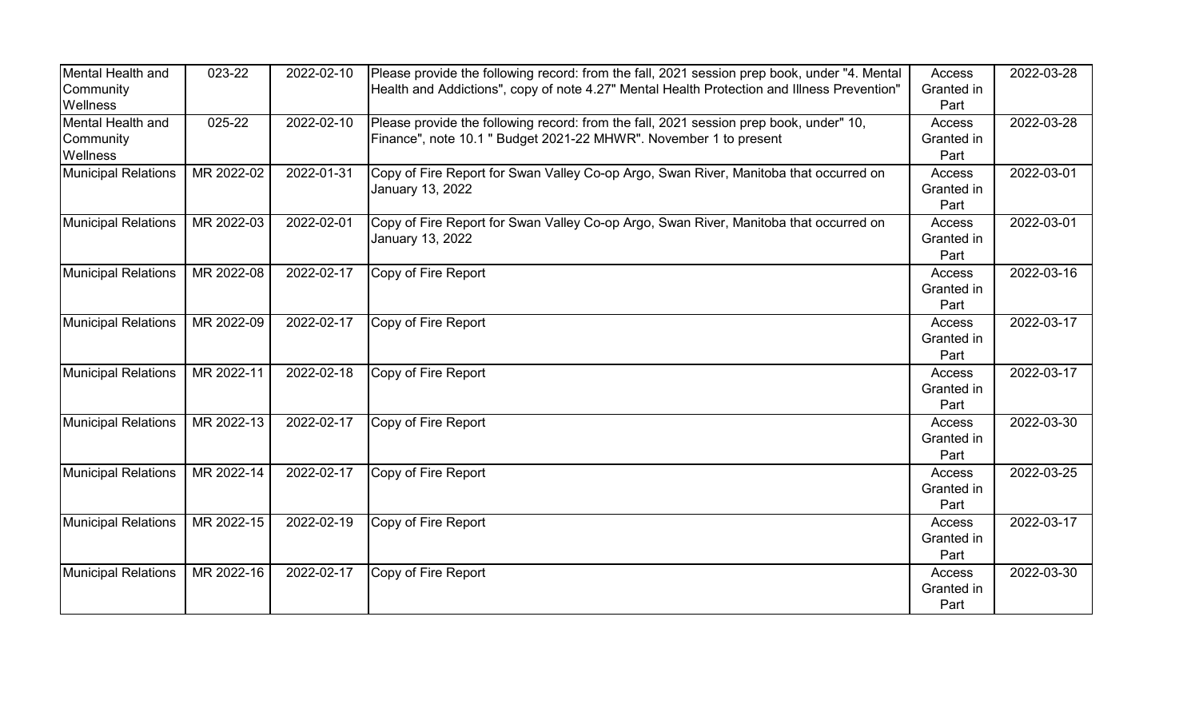| Mental Health and          | 023-22     | 2022-02-10 | Please provide the following record: from the fall, 2021 session prep book, under "4. Mental | Access        | 2022-03-28 |
|----------------------------|------------|------------|----------------------------------------------------------------------------------------------|---------------|------------|
| Community                  |            |            | Health and Addictions", copy of note 4.27" Mental Health Protection and Illness Prevention"  | Granted in    |            |
| Wellness                   |            |            |                                                                                              | Part          |            |
| Mental Health and          | 025-22     | 2022-02-10 | Please provide the following record: from the fall, 2021 session prep book, under" 10,       | Access        | 2022-03-28 |
| Community                  |            |            | Finance", note 10.1 " Budget 2021-22 MHWR". November 1 to present                            | Granted in    |            |
| Wellness                   |            |            |                                                                                              | Part          |            |
| <b>Municipal Relations</b> | MR 2022-02 | 2022-01-31 | Copy of Fire Report for Swan Valley Co-op Argo, Swan River, Manitoba that occurred on        | Access        | 2022-03-01 |
|                            |            |            | January 13, 2022                                                                             | Granted in    |            |
|                            |            |            |                                                                                              | Part          |            |
| Municipal Relations        | MR 2022-03 | 2022-02-01 | Copy of Fire Report for Swan Valley Co-op Argo, Swan River, Manitoba that occurred on        | Access        | 2022-03-01 |
|                            |            |            | January 13, 2022                                                                             | Granted in    |            |
|                            |            |            |                                                                                              | Part          |            |
| <b>Municipal Relations</b> | MR 2022-08 | 2022-02-17 | Copy of Fire Report                                                                          | Access        | 2022-03-16 |
|                            |            |            |                                                                                              | Granted in    |            |
|                            |            |            |                                                                                              | Part          |            |
| <b>Municipal Relations</b> | MR 2022-09 | 2022-02-17 | Copy of Fire Report                                                                          | Access        | 2022-03-17 |
|                            |            |            |                                                                                              | Granted in    |            |
|                            |            |            |                                                                                              | Part          |            |
| <b>Municipal Relations</b> | MR 2022-11 | 2022-02-18 | Copy of Fire Report                                                                          | <b>Access</b> | 2022-03-17 |
|                            |            |            |                                                                                              | Granted in    |            |
|                            |            |            |                                                                                              | Part          |            |
| <b>Municipal Relations</b> | MR 2022-13 | 2022-02-17 | Copy of Fire Report                                                                          | Access        | 2022-03-30 |
|                            |            |            |                                                                                              | Granted in    |            |
|                            |            |            |                                                                                              | Part          |            |
| Municipal Relations        | MR 2022-14 | 2022-02-17 | Copy of Fire Report                                                                          | Access        | 2022-03-25 |
|                            |            |            |                                                                                              | Granted in    |            |
|                            |            |            |                                                                                              | Part          |            |
| <b>Municipal Relations</b> | MR 2022-15 | 2022-02-19 | Copy of Fire Report                                                                          | <b>Access</b> | 2022-03-17 |
|                            |            |            |                                                                                              | Granted in    |            |
|                            |            |            |                                                                                              | Part          |            |
| <b>Municipal Relations</b> | MR 2022-16 | 2022-02-17 | Copy of Fire Report                                                                          | Access        | 2022-03-30 |
|                            |            |            |                                                                                              | Granted in    |            |
|                            |            |            |                                                                                              | Part          |            |